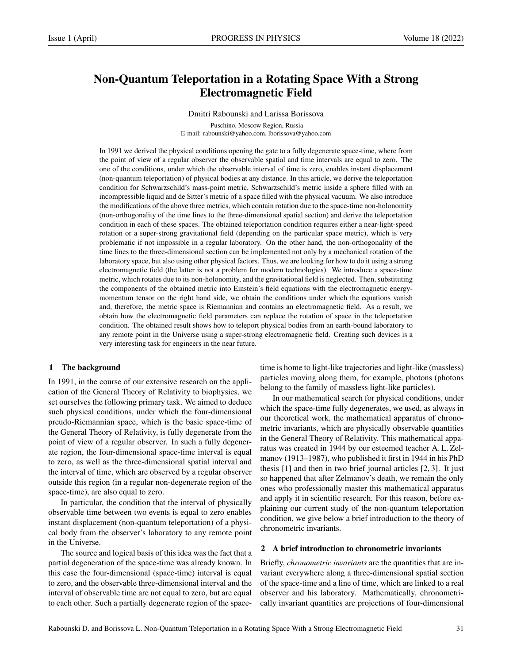# Non-Quantum Teleportation in a Rotating Space With a Strong Electromagnetic Field

Dmitri Rabounski and Larissa Borissova

Puschino, Moscow Region, Russia E-mail: rabounski@yahoo.com, lborissova@yahoo.com

In 1991 we derived the physical conditions opening the gate to a fully degenerate space-time, where from the point of view of a regular observer the observable spatial and time intervals are equal to zero. The one of the conditions, under which the observable interval of time is zero, enables instant displacement (non-quantum teleportation) of physical bodies at any distance. In this article, we derive the teleportation condition for Schwarzschild's mass-point metric, Schwarzschild's metric inside a sphere filled with an incompressible liquid and de Sitter's metric of a space filled with the physical vacuum. We also introduce the modifications of the above three metrics, which contain rotation due to the space-time non-holonomity (non-orthogonality of the time lines to the three-dimensional spatial section) and derive the teleportation condition in each of these spaces. The obtained teleportation condition requires either a near-light-speed rotation or a super-strong gravitational field (depending on the particular space metric), which is very problematic if not impossible in a regular laboratory. On the other hand, the non-orthogonality of the time lines to the three-dimensional section can be implemented not only by a mechanical rotation of the laboratory space, but also using other physical factors. Thus, we are looking for how to do it using a strong electromagnetic field (the latter is not a problem for modern technologies). We introduce a space-time metric, which rotates due to its non-holonomity, and the gravitational field is neglected. Then, substituting the components of the obtained metric into Einstein's field equations with the electromagnetic energymomentum tensor on the right hand side, we obtain the conditions under which the equations vanish and, therefore, the metric space is Riemannian and contains an electromagnetic field. As a result, we obtain how the electromagnetic field parameters can replace the rotation of space in the teleportation condition. The obtained result shows how to teleport physical bodies from an earth-bound laboratory to any remote point in the Universe using a super-strong electromagnetic field. Creating such devices is a very interesting task for engineers in the near future.

#### 1 The background

In 1991, in the course of our extensive research on the application of the General Theory of Relativity to biophysics, we set ourselves the following primary task. We aimed to deduce such physical conditions, under which the four-dimensional preudo-Riemannian space, which is the basic space-time of the General Theory of Relativity, is fully degenerate from the point of view of a regular observer. In such a fully degenerate region, the four-dimensional space-time interval is equal to zero, as well as the three-dimensional spatial interval and the interval of time, which are observed by a regular observer outside this region (in a regular non-degenerate region of the space-time), are also equal to zero.

In particular, the condition that the interval of physically observable time between two events is equal to zero enables instant displacement (non-quantum teleportation) of a physical body from the observer's laboratory to any remote point in the Universe.

The source and logical basis of this idea was the fact that a partial degeneration of the space-time was already known. In this case the four-dimensional (space-time) interval is equal to zero, and the observable three-dimensional interval and the interval of observable time are not equal to zero, but are equal to each other. Such a partially degenerate region of the spacetime is home to light-like trajectories and light-like (massless) particles moving along them, for example, photons (photons belong to the family of massless light-like particles).

In our mathematical search for physical conditions, under which the space-time fully degenerates, we used, as always in our theoretical work, the mathematical apparatus of chronometric invariants, which are physically observable quantities in the General Theory of Relativity. This mathematical apparatus was created in 1944 by our esteemed teacher A. L. Zelmanov (1913–1987), who published it first in 1944 in his PhD thesis [1] and then in two brief journal articles [2, 3]. It just so happened that after Zelmanov's death, we remain the only ones who professionally master this mathematical apparatus and apply it in scientific research. For this reason, before explaining our current study of the non-quantum teleportation condition, we give below a brief introduction to the theory of chronometric invariants.

### 2 A brief introduction to chronometric invariants

Briefly, *chronometric invariants* are the quantities that are invariant everywhere along a three-dimensional spatial section of the space-time and a line of time, which are linked to a real observer and his laboratory. Mathematically, chronometrically invariant quantities are projections of four-dimensional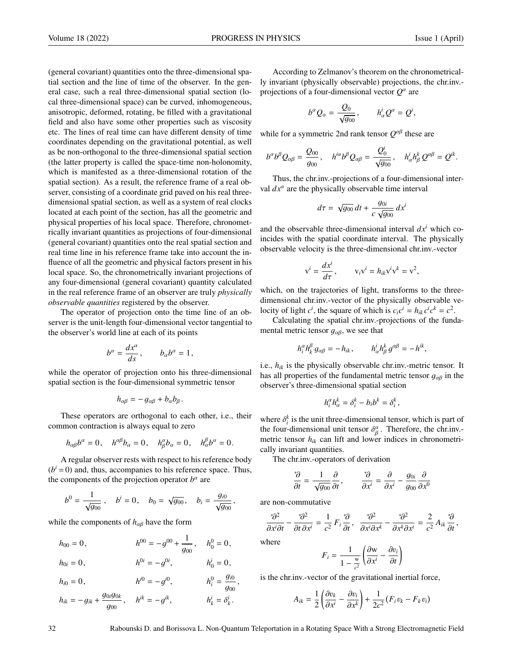(general covariant) quantities onto the three-dimensional spatial section and the line of time of the observer. In the general case, such a real three-dimensional spatial section (local three-dimensional space) can be curved, inhomogeneous, anisotropic, deformed, rotating, be filled with a gravitational field and also have some other properties such as viscosity etc. The lines of real time can have different density of time coordinates depending on the gravitational potential, as well as be non-orthogonal to the three-dimensional spatial section (the latter property is called the space-time non-holonomity, which is manifested as a three-dimensional rotation of the spatial section). As a result, the reference frame of a real observer, consisting of a coordinate grid paved on his real threedimensional spatial section, as well as a system of real clocks located at each point of the section, has all the geometric and physical properties of his local space. Therefore, chronometrically invariant quantities as projections of four-dimensional (general covariant) quantities onto the real spatial section and real time line in his reference frame take into account the influence of all the geometric and physical factors present in his local space. So, the chronometrically invariant projections of any four-dimensional (general covariant) quantity calculated in the real reference frame of an observer are truly *physically observable quantities* registered by the observer.

The operator of projection onto the time line of an observer is the unit-length four-dimensional vector tangential to the observer's world line at each of its points

$$
b^{\alpha} = \frac{dx^{\alpha}}{ds}, \qquad b_{\alpha}b^{\alpha} = 1,
$$

while the operator of projection onto his three-dimensional spatial section is the four-dimensional symmetric tensor

$$
h_{\alpha\beta}=-g_{\alpha\beta}+b_{\alpha}b_{\beta}.
$$

These operators are orthogonal to each other, i.e., their common contraction is always equal to zero

$$
h_{\alpha\beta}b^{\alpha}=0
$$
,  $h^{\alpha\beta}b_{\alpha}=0$ ,  $h_{\beta}^{\alpha}b_{\alpha}=0$ ,  $h_{\alpha}^{\beta}b^{\alpha}=0$ .

A regular observer rests with respect to his reference body  $(b<sup>i</sup> = 0)$  and, thus, accompanies to his reference space. Thus, the components of the projection operator  $b^{\alpha}$  are

$$
b^0 = \frac{1}{\sqrt{g_{00}}},
$$
  $b^i = 0,$   $b_0 = \sqrt{g_{00}},$   $b_i = \frac{g_{i0}}{\sqrt{g_{00}}},$ 

while the components of  $h_{\alpha\beta}$  have the form

 $h_{00} = 0,$   $h^{00} = -g^{00} + \frac{1}{g_0}$  $\frac{1}{g_{00}}$ ,  $h_0^0 = 0$ ,  $h_{0i} = 0,$   $h^{0i} = -g^{0i},$   $h_0^i = 0,$  $h_{i0} = 0$ ,  $h^{i0} = -g^{i0}$ ,  $h_i^0 = \frac{g_{i0}}{g_{00}}$  $\frac{g_{00}}{g}$ 

$$
h_{ik} = -g_{ik} + \frac{g_{0i}g_{0k}}{g_{00}}, \quad h^{ik} = -g^{ik}, \quad h^i_k = \delta^i_k.
$$

According to Zelmanov's theorem on the chronometrically invariant (physically observable) projections, the chr.inv. projections of a four-dimensional vector  $Q^{\alpha}$  are

$$
b^{\alpha}Q_{\alpha}=\frac{Q_0}{\sqrt{g_{00}}}, \qquad h_{\alpha}^i Q^{\alpha} = Q^i,
$$

while for a symmetric 2nd rank tensor  $Q^{\alpha\beta}$  these are

$$
b^{\alpha}b^{\beta}Q_{\alpha\beta}=\frac{Q_{00}}{g_{00}},\quad h^{i\alpha}b^{\beta}Q_{\alpha\beta}=\frac{Q_{0}^{i}}{\sqrt{g_{00}}},\quad h^{i}_{\alpha}h^{k}_{\beta}Q^{\alpha\beta}=Q^{ik}.
$$

Thus, the chr.inv.-projections of a four-dimensional interval  $dx^{\alpha}$  are the physically observable time interval

$$
d\tau = \sqrt{g_{00}} dt + \frac{g_{0i}}{c \sqrt{g_{00}}} dx^{i}
$$

and the observable three-dimensional interval  $dx^i$  which coincides with the spatial coordinate interval. The physically observable velocity is the three-dimensional chr.inv.-vector

$$
v^{i} = \frac{dx^{i}}{d\tau}, \qquad v_{i}v^{i} = h_{ik}v^{i}v^{k} = v^{2},
$$

which, on the trajectories of light, transforms to the threedimensional chr.inv.-vector of the physically observable velocity of light  $c^i$ , the square of which is  $c_i c^i = h_{ik} c^i c^k = c^2$ .

Calculating the spatial chr.inv.-projections of the fundamental metric tensor  $g_{\alpha\beta}$ , we see that

$$
h_i^{\alpha} h_k^{\beta} g_{\alpha\beta} = -h_{ik}, \qquad h_{\alpha}^i h_{\beta}^k g^{\alpha\beta} = -h^{ik},
$$

i.e.,  $h_{ik}$  is the physically observable chr.inv.-metric tensor. It has all properties of the fundamental metric tensor  $q_{\alpha\beta}$  in the observer's three-dimensional spatial section

$$
h_i^{\alpha}h_{\alpha}^k = \delta_i^k - b_i b^k = \delta_i^k,
$$

where  $\delta_i^k$  is the unit three-dimensional tensor, which is part of the four-dimensional unit tensor  $\delta_i^{\alpha}$ . Therefore, the chrinythe four-dimensional unit tensor  $\delta_{\beta}^{\alpha}$ . Therefore, the chr.inv.-<br>metric tensor  $h_{\alpha}$  can lift and lower indices in chronometrimetric tensor  $h_{ik}$  can lift and lower indices in chronometrically invariant quantities.

The chr.inv.-operators of derivation

$$
\frac{\partial}{\partial t} = \frac{1}{\sqrt{g_{00}}}\frac{\partial}{\partial t}, \qquad \frac{\partial}{\partial x^i} = \frac{\partial}{\partial x^i} - \frac{g_{0i}}{g_{00}}\frac{\partial}{\partial x^0}
$$

are non-commutative

$$
\frac{\partial^2}{\partial x^i \partial t} - \frac{\partial^2}{\partial t \partial x^i} = \frac{1}{c^2} F_i \frac{\partial}{\partial t}, \quad \frac{\partial^2}{\partial x^i \partial x^k} - \frac{\partial^2}{\partial x^k \partial x^i} = \frac{2}{c^2} A_{ik} \frac{\partial}{\partial t},
$$

where

$$
F_i = \frac{1}{1 - \frac{w}{c^2}} \left( \frac{\partial w}{\partial x^i} - \frac{\partial v_i}{\partial t} \right)
$$

is the chr.inv.-vector of the gravitational inertial force,

$$
A_{ik} = \frac{1}{2} \left( \frac{\partial v_k}{\partial x^i} - \frac{\partial v_i}{\partial x^k} \right) + \frac{1}{2c^2} \left( F_i v_k - F_k v_i \right)
$$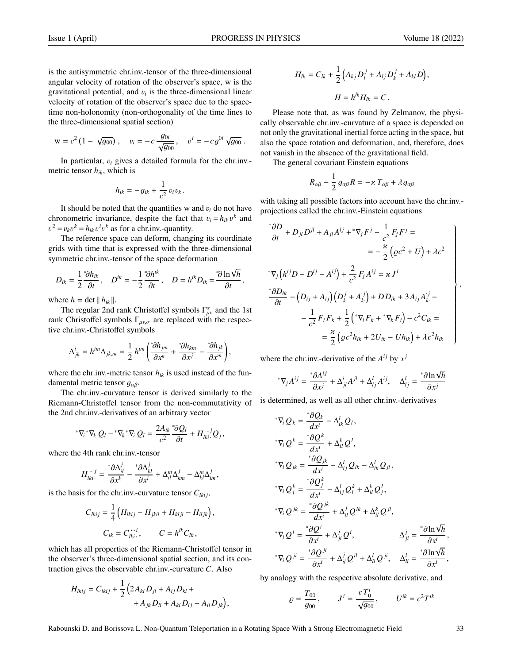is the antisymmetric chr.inv.-tensor of the three-dimensional angular velocity of rotation of the observer's space, w is the gravitational potential, and  $v_i$  is the three-dimensional linear velocity of rotation of the observer's space due to the spacevelocity of rotation of the observer's space due to the spacetime non-holonomity (non-orthogonality of the time lines to the three-dimensional spatial section)

$$
w = c^2 (1 - \sqrt{g_{00}}), \quad v_i = -c \frac{g_{0i}}{\sqrt{g_{00}}}, \quad v^i = -cg^{0i} \sqrt{g_{00}}.
$$

In particular, <sup>v</sup>*<sup>i</sup>* gives a detailed formula for the chr.inv. metric tensor *hik*, which is

$$
h_{ik} = -g_{ik} + \frac{1}{c^2} v_i v_k.
$$

It should be noted that the quantities w and  $v_i$  do not have chronometric invariance, despite the fact that  $v_i = h_{ik} v^k$  and  $v_i^2 = v_i v^k - h_{ik} v^{i}$  as for a chriny-quantity  $v^2 = v_k v^k = h_{ik} v^i v^k$  as for a chr.inv.-quantity.<br>The reference space can deform change

The reference space can deform, changing its coordinate grids with time that is expressed with the three-dimensional symmetric chr.inv.-tensor of the space deformation

$$
D_{ik} = \frac{1}{2} \frac{\partial h_{ik}}{\partial t}, \quad D^{ik} = -\frac{1}{2} \frac{\partial h^{ik}}{\partial t}, \quad D = h^{ik} D_{ik} = \frac{\partial \ln \sqrt{h}}{\partial t},
$$

where  $h = \det || h_{ik} ||.$ 

The regular 2nd rank Christoffel symbols  $\Gamma^{\alpha}_{\mu\nu}$  and the 1st<br>Christoffel symbols  $\Gamma^{\alpha}_{\mu\nu}$  are replaced with the respectively rank Christoffel symbols  $\Gamma_{\mu\nu,\sigma}$  are replaced with the respective chr.inv.-Christoffel symbols

$$
\Delta_{jk}^{i} = h^{im} \Delta_{jk,m} = \frac{1}{2} h^{im} \left( \frac{\partial h_{jm}}{\partial x^{k}} + \frac{\partial h_{km}}{\partial x^{j}} - \frac{\partial h_{jk}}{\partial x^{m}} \right),
$$

where the chr.inv.-metric tensor  $h_{ik}$  is used instead of the fundamental metric tensor  $g_{\alpha\beta}$ .

The chr.inv.-curvature tensor is derived similarly to the Riemann-Christoffel tensor from the non-commutativity of the 2nd chr.inv.-derivatives of an arbitrary vector

$$
{}^*\nabla_i {}^*\nabla_k Q_l - {}^*\nabla_k {}^*\nabla_i Q_l = \frac{2A_{ik}}{c^2} \frac{{}^*\partial Q_l}{\partial t} + H_{lki}^{...j} Q_j
$$

where the 4th rank chr.inv.-tensor

$$
H_{lki}^{m,j} = \frac{\partial \Delta_{il}^j}{\partial x^k} - \frac{\partial \Delta_{kl}^j}{\partial x^i} + \Delta_{il}^m \Delta_{km}^j - \Delta_{kl}^m \Delta_{im}^j,
$$

is the basis for the chr.inv.-curvature tensor  $C_{lkij}$ ,

$$
C_{lkij} = \frac{1}{4} \left( H_{lkij} - H_{jkil} + H_{klji} - H_{iljk} \right),
$$
  
\n
$$
C_{lk} = C_{lki}^{mli}, \qquad C = h^{lk} C_{lk},
$$

which has all properties of the Riemann-Christoffel tensor in the observer's three-dimensional spatial section, and its contraction gives the observable chr.inv.-curvature *C*. Also

$$
H_{lkij} = C_{lkij} + \frac{1}{2} \left( 2A_{ki} D_{jl} + A_{ij} D_{kl} ++ A_{jk} D_{il} + A_{kl} D_{ij} + A_{li} D_{jk} \right),
$$

$$
H_{lk} = C_{lk} + \frac{1}{2} \left( A_{kj} D_l^j + A_{lj} D_k^j + A_{kl} D \right),
$$
  

$$
H = h^{lk} H_{lk} = C.
$$

Please note that, as was found by Zelmanov, the physically observable chr.inv.-curvature of a space is depended on not only the gravitational inertial force acting in the space, but also the space rotation and deformation, and, therefore, does not vanish in the absence of the gravitational field.

The general covariant Einstein equations

$$
R_{\alpha\beta} - \frac{1}{2} g_{\alpha\beta} R = -\varkappa T_{\alpha\beta} + \lambda g_{\alpha\beta}
$$

with taking all possible factors into account have the chr.inv. projections called the chr.inv.-Einstein equations

$$
\begin{aligned}\n\stackrel{*}{\rightarrow} & \frac{\partial D}{\partial t} + D_{jl} D^{jl} + A_{jl} A^{lj} + \,^* \nabla_j F^j - \frac{1}{c^2} F_j F^j = \\
& = -\frac{\varkappa}{2} \left( \varrho c^2 + U \right) + \lambda c^2 \\
\stackrel{*}{\rightarrow} & \nabla_j \left( h^{ij} D - D^{ij} - A^{ij} \right) + \frac{2}{c^2} F_j A^{ij} = \varkappa J^i \\
\stackrel{*}{\rightarrow} & \frac{\varkappa}{\partial t} - \left( D_{ij} + A_{ij} \right) \left( D_k^j + A_k^j \right) + D D_{ik} + 3 A_{ij} A_k^{j} - \\
& - \frac{1}{c^2} F_i F_k + \frac{1}{2} \left( \,^* \nabla_i F_k + \,^* \nabla_k F_i \right) - c^2 C_{ik} = \\
& = \frac{\varkappa}{2} \left( \varrho c^2 h_{ik} + 2 U_{ik} - U h_{ik} \right) + \lambda c^2 h_{ik}\n\end{aligned}
$$

where the chr.inv.-derivative of the  $A^{ij}$  by  $x^j$ 

$$
^*\nabla_j A^{ij} = \frac{\partial A^{ij}}{\partial x^j} + \Delta^i_{jl} A^{jl} + \Delta^l_{lj} A^{ij}, \quad \Delta^l_{lj} = \frac{\partial \ln \sqrt{h}}{\partial x^j}
$$

is determined, as well as all other chr.inv.-derivatives

$$
^*\nabla_i Q_k = \frac{{^*}\partial Q_k}{{dx^i}} - \Delta_{ik}^l Q_l,
$$
  
\n
$$
^*\nabla_i Q^k = \frac{{^*}\partial Q^k}{{dx^i}} + \Delta_{il}^k Q^l,
$$
  
\n
$$
^*\nabla_i Q_{jk} = \frac{{^*}\partial Q_{jk}}{{dx^i}} - \Delta_{ij}^l Q_{lk} - \Delta_{ik}^l Q_{jl},
$$
  
\n
$$
^*\nabla_i Q_j^k = \frac{{^*}\partial Q_j^k}{{dx^i}} - \Delta_{ij}^l Q_l^k + \Delta_{il}^k Q_j^l,
$$
  
\n
$$
^*\nabla_i Q^{jk} = \frac{{^*}\partial Q^{jk}}{{dx^i}} + \Delta_{il}^j Q^{lk} + \Delta_{il}^k Q^{jl},
$$
  
\n
$$
^*\nabla_i Q^i = \frac{{^*}\partial Q^i}{{\partial x^i}} + \Delta_{jl}^j Q^i, \qquad \Delta_{ji}^j = \frac{{^*}\partial \ln \sqrt{h}}{{\partial x^i}},
$$
  
\n
$$
^*\nabla_i Q^{ji} = \frac{{^*}\partial Q^{ji}}{{\partial x^i}} + \Delta_{il}^j Q^{il} + \Delta_{li}^l Q^{ji}, \qquad \Delta_{li}^l = \frac{{^*}\partial \ln \sqrt{h}}{{\partial x^i}},
$$

by analogy with the respective absolute derivative, and

$$
\varrho = \frac{T_{00}}{g_{00}}, \qquad J^{i} = \frac{c T_{0}^{i}}{\sqrt{g_{00}}}, \qquad U^{ik} = c^{2} T^{ik}
$$

,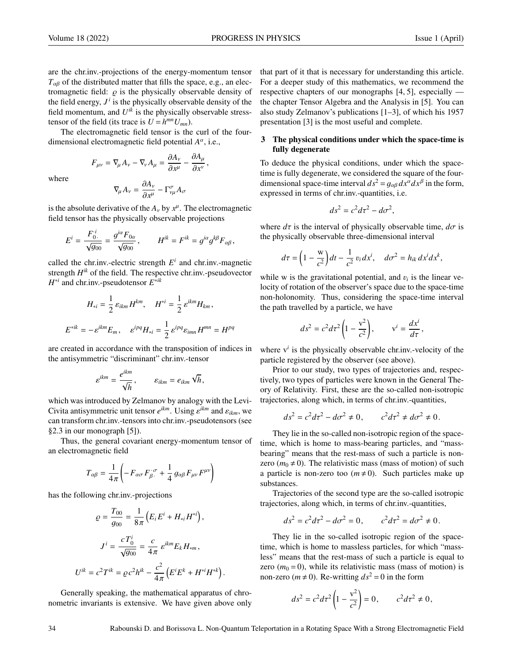where

are the chr.inv.-projections of the energy-momentum tensor  $T_{\alpha\beta}$  of the distributed matter that fills the space, e.g., an electromagnetic field:  $\rho$  is the physically observable density of the field energy,  $J^i$  is the physically observable density of the field momentum, and  $U^{ik}$  is the physically observable stresstensor of the field (its trace is  $U = h^{mn} U_{mn}$ ).

The electromagnetic field tensor is the curl of the fourdimensional electromagnetic field potential *A* α , i.e.,

> $F_{\mu\nu} = \nabla_{\mu} A_{\nu} - \nabla_{\nu} A_{\mu} = \frac{\partial A_{\nu}}{\partial x^{\mu}}$  $∂x<sup>μ</sup>$  $-\frac{\partial A_\mu}{\partial x^{\nu}}$  $\partial x^{\nu}$ <sup>'</sup>  $\nabla_{\!\mu} A_{\nu} = \frac{\partial A_{\nu}}{\partial x^{\mu}}$

∂*x* µ  $-\Gamma^{\sigma}_{\nu\mu}A_{\sigma}$ is the absolute derivative of the  $A_y$  by  $x^{\mu}$ . The electromagnetic field toneon has the physically observable projections.

field tensor has the physically observable projections

 $E^i = \frac{F_0^i}{\sqrt{g_{00}}} = \frac{g^{i\alpha}F_{0\alpha}}{\sqrt{g_{00}}}$ ,  $H^{ik} = F^{ik} = g^{i\alpha}g^{k\beta}F_{\alpha\beta}$ ,

$$
\sqrt{g_{00}} \quad \sqrt{g_{00}} \quad \text{if} \quad g_{0} \text{ and } g_{0} \text{ is a constant.}
$$
\nLet the chr inv-electric strength  $F^i$  and chr inv-maom.

called the chr.inv.-electric strength  $E^i$  and chr.inv.-magnetic strength  $H^{ik}$  of the field. The respective chr.inv.-pseudovector *H* ∗*i* and chr.inv.-pseudotensor *E* ∗*ik*

$$
H_{*i} = \frac{1}{2} \varepsilon_{ikm} H^{km}, \quad H^{*i} = \frac{1}{2} \varepsilon^{ikm} H_{km},
$$
  

$$
E^{*ik} = -\varepsilon^{ikm} E_m, \quad \varepsilon^{ipq} H_{*i} = \frac{1}{2} \varepsilon^{ipq} \varepsilon_{imn} H^{mn} = H^{pq}
$$

are created in accordance with the transposition of indices in the antisymmetric "discriminant" chr.inv.-tensor

$$
\varepsilon^{ikm} = \frac{e^{ikm}}{\sqrt{h}}, \qquad \varepsilon_{ikm} = e_{ikm} \sqrt{h},
$$

which was introduced by Zelmanov by analogy with the Levi-Civita antisymmetric unit tensor  $e^{ikm}$ . Using  $e^{ikm}$  and  $e_{ikm}$ , we<br>can transform chr inv-tensors into chr inv-pseudotensors (see can transform chr.inv.-tensors into chr.inv.-pseudotensors (see §2.3 in our monograph [5]).

Thus, the general covariant energy-momentum tensor of an electromagnetic field

$$
T_{\alpha\beta} = \frac{1}{4\pi} \left( -F_{\alpha\sigma} F_{\beta}^{\ \sigma} + \frac{1}{4} g_{\alpha\beta} F_{\mu\nu} F^{\mu\nu} \right)
$$

has the following chr.inv.-projections

$$
\varrho = \frac{T_{00}}{g_{00}} = \frac{1}{8\pi} \left( E_i E^i + H_{*i} H^{*i} \right),
$$

$$
J^i = \frac{c T_0^i}{\sqrt{g_{00}}} = \frac{c}{4\pi} \varepsilon^{ikm} E_k H_{*m},
$$

$$
U^{ik} = c^2 T^{ik} = \varrho c^2 h^{ik} - \frac{c^2}{4\pi} \left( E^i E^k + H^{*i} H^{*k} \right)
$$

Generally speaking, the mathematical apparatus of chronometric invariants is extensive. We have given above only that part of it that is necessary for understanding this article. For a deeper study of this mathematics, we recommend the respective chapters of our monographs [4, 5], especially the chapter Tensor Algebra and the Analysis in [5]. You can also study Zelmanov's publications [1–3], of which his 1957 presentation [3] is the most useful and complete.

# 3 The physical conditions under which the space-time is fully degenerate

To deduce the physical conditions, under which the spacetime is fully degenerate, we considered the square of the fourdimensional space-time interval  $ds^2 = g_{\alpha\beta} dx^{\alpha} dx^{\beta}$  in the form,<br>expressed in terms of chr inv-quantities i.e. expressed in terms of chr.inv.-quantities, i.e.

$$
ds^2 = c^2 d\tau^2 - d\sigma^2,
$$

where  $d\tau$  is the interval of physically observable time,  $d\sigma$  is the physically observable three-dimensional interval

$$
d\tau = \left(1 - \frac{w}{c^2}\right)dt - \frac{1}{c^2}v_i dx^i, \quad d\sigma^2 = h_{ik} dx^i dx^k,
$$

while w is the gravitational potential, and  $v_i$  is the linear ve-<br>locity of rotation of the observer's space due to the space-time locity of rotation of the observer's space due to the space-time non-holonomity. Thus, considering the space-time interval the path travelled by a particle, we have

$$
ds^2 = c^2 d\tau^2 \left(1 - \frac{v^2}{c^2}\right), \qquad v^i = \frac{dx^i}{d\tau},
$$

where  $v^i$  is the physically observable chr.inv.-velocity of the particle registered by the observer (see above).

Prior to our study, two types of trajectories and, respectively, two types of particles were known in the General Theory of Relativity. First, these are the so-called non-isotropic trajectories, along which, in terms of chr.inv.-quantities,

$$
ds^2 = c^2 d\tau^2 - d\sigma^2 \neq 0, \qquad c^2 d\tau^2 \neq d\sigma^2 \neq 0.
$$

They lie in the so-called non-isotropic region of the spacetime, which is home to mass-bearing particles, and "massbearing" means that the rest-mass of such a particle is nonzero ( $m_0 \neq 0$ ). The relativistic mass (mass of motion) of such a particle is non-zero too  $(m \neq 0)$ . Such particles make up substances.

Trajectories of the second type are the so-called isotropic trajectories, along which, in terms of chr.inv.-quantities,

$$
ds^2 = c^2 d\tau^2 - d\sigma^2 = 0, \qquad c^2 d\tau^2 = d\sigma^2 \neq 0.
$$

They lie in the so-called isotropic region of the spacetime, which is home to massless particles, for which "massless" means that the rest-mass of such a particle is equal to zero  $(m_0 = 0)$ , while its relativistic mass (mass of motion) is non-zero ( $m \ne 0$ ). Re-writting  $ds^2 = 0$  in the form

$$
ds^2 = c^2 d\tau^2 \left(1 - \frac{v^2}{c^2}\right) = 0, \qquad c^2 d\tau^2 \neq 0,
$$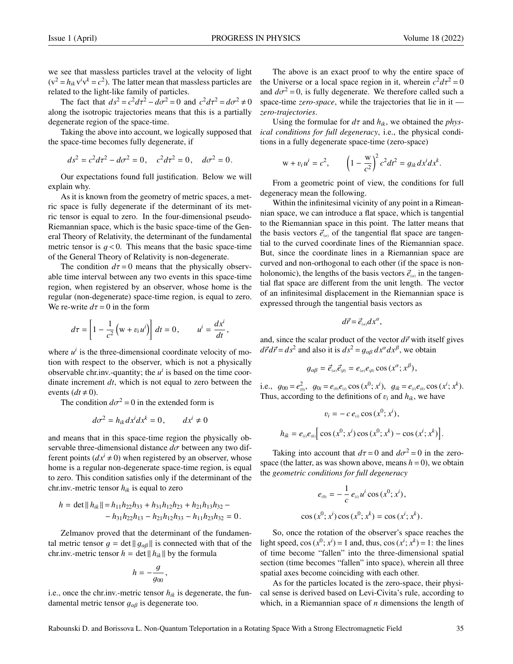we see that massless particles travel at the velocity of light  $(v^2 = h_{ik} v^i v^k = c^2)$ . The latter mean that massless particles are related to the light-like family of particles.

The fact that  $ds^2 = c^2 d\tau^2 - d\sigma^2 = 0$  and  $c^2 d\tau^2 = d\sigma^2 \neq 0$ <br>the isotropic trajectories means that this is a partially along the isotropic trajectories means that this is a partially degenerate region of the space-time.

Taking the above into account, we logically supposed that the space-time becomes fully degenerate, if

$$
ds^2 = c^2 d\tau^2 - d\sigma^2 = 0, \quad c^2 d\tau^2 = 0, \quad d\sigma^2 = 0.
$$

Our expectations found full justification. Below we will explain why.

As it is known from the geometry of metric spaces, a metric space is fully degenerate if the determinant of its metric tensor is equal to zero. In the four-dimensional pseudo-Riemannian space, which is the basic space-time of the General Theory of Relativity, the determinant of the fundamental metric tensor is  $q < 0$ . This means that the basic space-time of the General Theory of Relativity is non-degenerate.

The condition  $d\tau = 0$  means that the physically observable time interval between any two events in this space-time region, when registered by an observer, whose home is the regular (non-degenerate) space-time region, is equal to zero. We re-write  $d\tau = 0$  in the form

$$
d\tau = \left[1 - \frac{1}{c^2} \left(w + v_i u^i\right)\right] dt = 0, \qquad u^i = \frac{dx^i}{dt},
$$

where  $u^i$  is the three-dimensional coordinate velocity of motion with respect to the observer, which is not a physically observable chr.inv.-quantity; the  $u^i$  is based on the time coordinate increment *dt*, which is not equal to zero between the events  $(dt \neq 0)$ .

The condition  $d\sigma^2 = 0$  in the extended form is

$$
d\sigma^2 = h_{ik} dx^i dx^k = 0, \qquad dx^i \neq 0
$$

and means that in this space-time region the physically observable three-dimensional distance *<sup>d</sup>*σ between any two different points  $(dx^{i} \neq 0)$  when registered by an observer, whose home is a regular non-degenerate space-time region, is equal to zero. This condition satisfies only if the determinant of the chr.inv.-metric tensor *hik* is equal to zero

$$
h = \det || h_{ik} || = h_{11}h_{22}h_{33} + h_{31}h_{12}h_{23} + h_{21}h_{13}h_{32} -- h_{31}h_{22}h_{13} - h_{21}h_{12}h_{33} - h_{11}h_{23}h_{32} = 0.
$$

Zelmanov proved that the determinant of the fundamental metric tensor  $g = \det \| g_{\alpha\beta} \|$  is connected with that of the chr.inv.-metric tensor  $h = \det || h_{ik} ||$  by the formula

$$
h=-\frac{g}{g_{00}},
$$

i.e., once the chr.inv.-metric tensor  $h_{ik}$  is degenerate, the fundamental metric tensor  $g_{\alpha\beta}$  is degenerate too.

The above is an exact proof to why the entire space of the Universe or a local space region in it, wherein  $c^2 d\tau^2 = 0$ <br>and  $d\tau^2 = 0$  is fully degenerate. We therefore called such a and  $d\sigma^2 = 0$ , is fully degenerate. We therefore called such a space-time zero-space, while the trajectories that lie in it space-time *zero-space*, while the trajectories that lie in it *zero-trajectories*.

Using the formulae for  $d\tau$  and  $h_{ik}$ , we obtained the *physical conditions for full degeneracy*, i.e., the physical conditions in a fully degenerate space-time (zero-space)

$$
w + v_i u^i = c^2
$$
,  $\left(1 - \frac{w}{c^2}\right)^2 c^2 dt^2 = g_{ik} dx^i dx^k$ .

From a geometric point of view, the conditions for full degeneracy mean the following.

Within the infinitesimal vicinity of any point in a Rimeannian space, we can introduce a flat space, which is tangential to the Riemannian space in this point. The latter means that the basis vectors  $\vec{e}_{(a)}$  of the tangential flat space are tangential to the curved coordinate lines of the Riemannian space. But, since the coordinate lines in a Riemannian space are curved and non-orthogonal to each other (if the space is nonholonomic), the lengths of the basis vectors  $\vec{e}_{\alpha}$  in the tangential flat space are different from the unit length. The vector tial flat space are different from the unit length. The vector of an infinitesimal displacement in the Riemannian space is expressed through the tangential basis vectors as

$$
d\vec{r}=\vec{e}_{\scriptscriptstyle(\alpha)}dx^{\alpha},
$$

and, since the scalar product of the vector  $d\vec{r}$  with itself gives  $d\vec{r}d\vec{r} = ds^2$  and also it is  $ds^2 = g_{\alpha\beta} dx^{\alpha} dx^{\beta}$ , we obtain

$$
g_{\alpha\beta}=\vec{e}_{\alpha\beta}\vec{e}_{\beta\beta}=e_{\alpha\beta}e_{\beta\beta}\cos(x^{\alpha};x^{\beta}),
$$

i.e.,  $g_{00} = e_{(0)}^2$ ,  $g_{0i} = e_{(0)}e_{(i)} \cos(x^0; x^i)$ ,  $g_{ik} = e_{(i)}e_{(k)} \cos(x^i; x^k)$ .<br>Thus according to the definitions of *n*, and *h*, we have Thus, according to the definitions of  $v_i$  and  $h_{ik}$ , we have

$$
v_i = -c e_{(i)} \cos(x^0; x^i),
$$
  

$$
h_{ik} = e_{(i)} e_{(k)} \Big[ \cos(x^0; x^i) \cos(x^0; x^k) - \cos(x^i; x^k) \Big]
$$

Taking into account that  $d\tau = 0$  and  $d\sigma^2 = 0$  in the zero-<br>ce (the latter, as was shown above, means  $h = 0$ ), we obtain space (the latter, as was shown above, means  $h = 0$ ), we obtain the *geometric conditions for full degeneracy*

$$
e_{(0)} = -\frac{1}{c} e_{(0)} u^i \cos(x^0; x^i),
$$
  
 
$$
\cos(x^0; x^i) \cos(x^0; x^k) = \cos(x^i; x^k).
$$

So, once the rotation of the observer's space reaches the light speed,  $\cos(x^0; x^i) = 1$  and, thus,  $\cos(x^i; x^k) = 1$ : the lines of time become "fallen" into the three-dimensional spatial section (time becomes "fallen" into space), wherein all three spatial axes become coinciding with each other.

As for the particles located is the zero-space, their physical sense is derived based on Levi-Civita's rule, according to which, in a Riemannian space of *n* dimensions the length of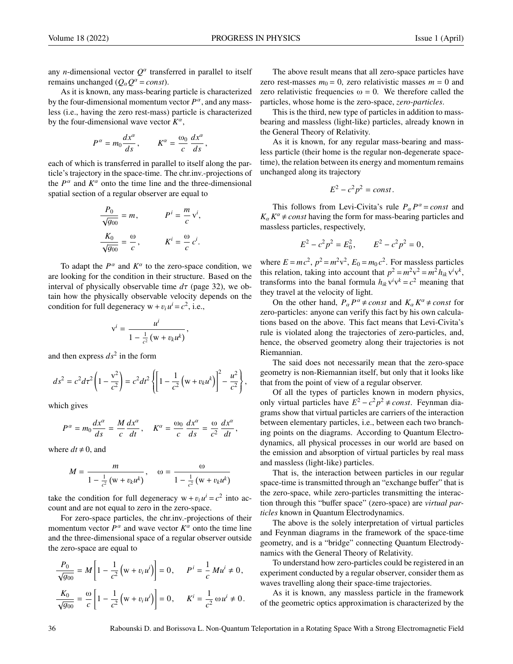any *n*-dimensional vector  $Q^{\alpha}$  transferred in parallel to itself remains unchanged ( $Q_{\alpha}Q^{\alpha} = const$ ).

As it is known, any mass-bearing particle is characterized by the four-dimensional momentum vector  $P^{\alpha}$ , and any massless (i.e., having the zero rest-mass) particle is characterized by the four-dimensional wave vector  $K^{\alpha}$ ,

$$
P^{\alpha} = m_0 \frac{dx^{\alpha}}{ds}, \qquad K^{\alpha} = \frac{\omega_0}{c} \frac{dx^{\alpha}}{ds},
$$

each of which is transferred in parallel to itself along the particle's trajectory in the space-time. The chr.inv.-projections of the  $P^{\alpha}$  and  $K^{\alpha}$  onto the time line and the three-dimensional spatial section of a regular observer are equal to

$$
\frac{P_0}{\sqrt{g_{00}}} = m, \qquad P^i = \frac{m}{c} v^i,
$$

$$
\frac{K_0}{\sqrt{g_{00}}} = \frac{\omega}{c}, \qquad K^i = \frac{\omega}{c} c^i.
$$

To adapt the  $P^{\alpha}$  and  $K^{\alpha}$  to the zero-space condition, we are looking for the condition in their structure. Based on the interval of physically observable time  $d\tau$  (page 32), we obtain how the physically observable velocity depends on the condition for full degeneracy  $w + v_i u^i = c^2$ , i.e.,

$$
v^i = \frac{u^i}{1 - \frac{1}{c^2} (w + v_k u^k)},
$$

and then express  $ds^2$  in the form

$$
ds^{2} = c^{2} d\tau^{2} \left( 1 - \frac{v^{2}}{c^{2}} \right) = c^{2} d\tau^{2} \left\{ \left[ 1 - \frac{1}{c^{2}} \left( w + v_{k} u^{k} \right) \right]^{2} - \frac{u^{2}}{c^{2}} \right\},
$$

which gives

$$
P^{\alpha} = m_0 \frac{dx^{\alpha}}{ds} = \frac{M}{c} \frac{dx^{\alpha}}{dt}, \quad K^{\alpha} = \frac{\omega_0}{c} \frac{dx^{\alpha}}{ds} = \frac{\omega}{c^2} \frac{dx^{\alpha}}{dt},
$$

where  $dt \neq 0$ , and

$$
M = \frac{m}{1 - \frac{1}{c^2} (w + v_k u^k)}, \quad \omega = \frac{\omega}{1 - \frac{1}{c^2} (w + v_k u^k)}
$$

take the condition for full degeneracy  $w + v_i u^i = c^2$  into ac-<br>count and are not equal to zero in the zero-space count and are not equal to zero in the zero-space.

For zero-space particles, the chr.inv.-projections of their momentum vector  $P^{\alpha}$  and wave vector  $K^{\alpha}$  onto the time line and the three-dimensional space of a regular observer outside the zero-space are equal to

$$
\frac{P_0}{\sqrt{g_{00}}} = M \left[ 1 - \frac{1}{c^2} \left( w + v_i u^i \right) \right] = 0, \qquad P^i = \frac{1}{c} M u^i \neq 0,
$$
  

$$
\frac{K_0}{\sqrt{g_{00}}} = \frac{\omega}{c} \left[ 1 - \frac{1}{c^2} \left( w + v_i u^i \right) \right] = 0, \qquad K^i = \frac{1}{c^2} \omega u^i \neq 0.
$$

The above result means that all zero-space particles have zero rest-masses  $m_0 = 0$ , zero relativistic masses  $m = 0$  and zero relativistic frequencies  $\omega = 0$ . We therefore called the particles, whose home is the zero-space, *zero-particles*.

This is the third, new type of particles in addition to massbearing and massless (light-like) particles, already known in the General Theory of Relativity.

As it is known, for any regular mass-bearing and massless particle (their home is the regular non-degenerate spacetime), the relation between its energy and momentum remains unchanged along its trajectory

$$
E^2 - c^2 p^2 = const.
$$

This follows from Levi-Civita's rule  $P_\alpha P^\alpha = const$  and  $P^{\alpha}$  $K_{\alpha} K^{\alpha} \neq const$  having the form for mass-bearing particles and massless particles, respectively,

$$
E^2 - c^2 p^2 = E_0^2, \qquad E^2 - c^2 p^2 = 0,
$$

where  $E = mc^2$ ,  $p^2 = m^2v^2$ ,  $E_0 = m_0c^2$ . For massless particles this relation, taking into account that  $p^2 = m^2v^2 = m^2h_{ik}v^i v^k$ , transforms into the banal formula  $h_{ik}v^i v^k = c^2$  meaning that they travel at the velocity of light.

On the other hand,  $P_{\alpha} P^{\alpha} \neq const$  and  $K_{\alpha} K^{\alpha} \neq const$  for zero-particles: anyone can verify this fact by his own calculations based on the above. This fact means that Levi-Civita's rule is violated along the trajectories of zero-particles, and, hence, the observed geometry along their trajectories is not Riemannian.

The said does not necessarily mean that the zero-space geometry is non-Riemannian itself, but only that it looks like that from the point of view of a regular observer.

Of all the types of particles known in modern physics, only virtual particles have  $E^2 - c^2p^2 ≠ const.$  Feynman diagrams show that virtual particles are carriers of the interaction between elementary particles, i.e., between each two branching points on the diagrams. According to Quantum Electrodynamics, all physical processes in our world are based on the emission and absorption of virtual particles by real mass and massless (light-like) particles.

That is, the interaction between particles in our regular space-time is transmitted through an "exchange buffer" that is the zero-space, while zero-particles transmitting the interaction through this "buffer space" (zero-space) are *virtual particles* known in Quantum Electrodynamics.

The above is the solely interpretation of virtual particles and Feynman diagrams in the framework of the space-time geometry, and is a "bridge" connecting Quantum Electrodynamics with the General Theory of Relativity.

To understand how zero-particles could be registered in an experiment conducted by a regular observer, consider them as waves travelling along their space-time trajectories.

As it is known, any massless particle in the framework of the geometric optics approximation is characterized by the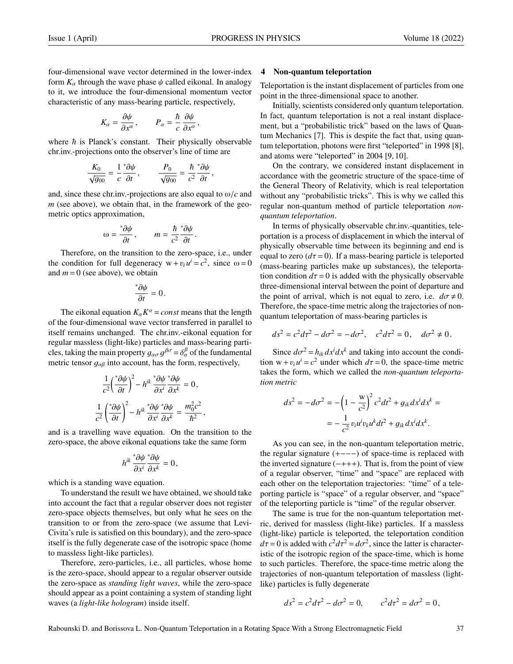four-dimensional wave vector determined in the lower-index form  $K_\alpha$  through the wave phase  $\psi$  called eikonal. In analogy to it, we introduce the four-dimensional momentum vector characteristic of any mass-bearing particle, respectively,

$$
K_{\alpha} = \frac{\partial \psi}{\partial x^{\alpha}}, \qquad P_{\alpha} = \frac{\hbar}{c} \frac{\partial \psi}{\partial x^{\alpha}},
$$

where  $\hbar$  is Planck's constant. Their physically observable chr.inv.-projections onto the observer's line of time are

$$
\frac{K_0}{\sqrt{g_{00}}} = \frac{1}{c} \frac{\partial \psi}{\partial t}, \qquad \frac{P_0}{\sqrt{g_{00}}} = \frac{\hbar}{c^2} \frac{\partial \psi}{\partial t},
$$

and, since these chr.inv.-projections are also equal to <sup>ω</sup>/*<sup>c</sup>* and *m* (see above), we obtain that, in the framework of the geometric optics approximation,

$$
\omega = \frac{\partial \psi}{\partial t}, \qquad m = \frac{\hbar}{c^2} \frac{\partial \psi}{\partial t}
$$

 $\frac{\partial t}{\partial t}$ ,  $\frac{\partial t}{\partial t}$   $c^2$   $\frac{\partial t}{\partial t}$ .<br>Therefore, on the transition to the zero-space, i.e., under the condition for full degeneracy  $w + v_i u^i = c^2$ , since  $\omega = 0$ <br>and  $m = 0$  (see above), we obtain and  $m = 0$  (see above), we obtain

$$
\frac{\partial \psi}{\partial t} = 0.
$$

The eikonal equation  $K_\alpha K^\alpha = const$  means that the length to four dimensional wave vector transformed in parallel to of the four-dimensional wave vector transferred in parallel to itself remains unchanged. The chr.inv.-eikonal equation for regular massless (light-like) particles and mass-bearing particles, taking the main property  $g_{\alpha\sigma} g^{\beta\sigma} = \delta^{\beta}_{\alpha}$  of the fundamental<br>metric tensor  $a_{\alpha}$  into account has the form respectively metric tensor  $g_{\alpha\beta}$  into account, has the form, respectively,

$$
\frac{1}{c^2} \left(\frac{\partial \psi}{\partial t}\right)^2 - h^{ik} \frac{\partial \psi}{\partial x^i} \frac{\partial \psi}{\partial x^k} = 0,
$$
  

$$
\frac{1}{c^2} \left(\frac{\partial \psi}{\partial t}\right)^2 - h^{ik} \frac{\partial \psi}{\partial x^i} \frac{\partial \psi}{\partial x^k} = \frac{m_0^2 c^2}{\hbar^2},
$$

and is a travelling wave equation. On the transition to the zero-space, the above eikonal equations take the same form

$$
h^{ik}\frac{\partial \psi}{\partial x^i}\frac{\partial \psi}{\partial x^k}=0,
$$

which is a standing wave equation.

To understand the result we have obtained, we should take into account the fact that a regular observer does not register zero-space objects themselves, but only what he sees on the transition to or from the zero-space (we assume that Levi-Civita's rule is satisfied on this boundary), and the zero-space itself is the fully degenerate case of the isotropic space (home to massless light-like particles).

Therefore, zero-particles, i.e., all particles, whose home is the zero-space, should appear to a regular observer outside the zero-space as *standing light waves*, while the zero-space should appear as a point containing a system of standing light waves (a *light-like hologram*) inside itself.

#### 4 Non-quantum teleportation

Teleportation is the instant displacement of particles from one point in the three-dimensional space to another.

Initially, scientists considered only quantum teleportation. In fact, quantum teleportation is not a real instant displacement, but a "probabilistic trick" based on the laws of Quantum Mechanics [7]. This is despite the fact that, using quantum teleportation, photons were first "teleported" in 1998 [8], and atoms were "teleported" in 2004 [9, 10].

On the contrary, we considered instant displacement in accordance with the geometric structure of the space-time of the General Theory of Relativity, which is real teleportation without any "probabilistic tricks". This is why we called this regular non-quantum method of particle teleportation *nonquantum teleportation*.

In terms of physically observable chr.inv.-quantities, teleportation is a process of displacement in which the interval of physically observable time between its beginning and end is equal to zero  $(d\tau = 0)$ . If a mass-bearing particle is teleported (mass-bearing particles make up substances), the teleportation condition  $d\tau = 0$  is added with the physically observable three-dimensional interval between the point of departure and the point of arrival, which is not equal to zero, i.e.  $d\sigma \neq 0$ . Therefore, the space-time metric along the trajectories of nonquantum teleportation of mass-bearing particles is

$$
ds^{2} = c^{2} d\tau^{2} - d\sigma^{2} = -d\sigma^{2}, \quad c^{2} d\tau^{2} = 0, \quad d\sigma^{2} \neq 0.
$$

Since  $d\sigma^2 = h_{ik} dx^i dx^k$  and taking into account the condi-<br> $w + v_i u^i = c^2$  under which  $d\tau = 0$ , the space-time metric tion  $w + v_i u^i = c^2$  under which  $d\tau = 0$ , the space-time metric<br>takes the form which we called the *non-quantum teleporta*takes the form, which we called the *non-quantum teleportation metric*

$$
ds^{2} = -d\sigma^{2} = -\left(1 - \frac{w}{c^{2}}\right)^{2} c^{2} dt^{2} + g_{ik} dx^{i} dx^{k} =
$$

$$
= -\frac{1}{c^{2}} v_{i} u^{i} v_{k} u^{k} dt^{2} + g_{ik} dx^{i} dx^{k}.
$$

As you can see, in the non-quantum teleportation metric, the regular signature (+−−−) of space-time is replaced with the inverted signature  $(-+++)$ . That is, from the point of view of a regular observer, "time" and "space" are replaced with each other on the teleportation trajectories: "time" of a teleporting particle is "space" of a regular observer, and "space" of the teleporting particle is "time" of the regular observer.

The same is true for the non-quantum teleportation metric, derived for massless (light-like) particles. If a massless (light-like) particle is teleported, the teleportation condition  $d\tau = 0$  is added with  $c^2 d\tau^2 = d\sigma^2$ , since the latter is character-<br>istic of the isotropic region of the space-time, which is home istic of the isotropic region of the space-time, which is home to such particles. Therefore, the space-time metric along the trajectories of non-quantum teleportation of massless (lightlike) particles is fully degenerate

$$
ds^2 = c^2 d\tau^2 - d\sigma^2 = 0, \qquad c^2 d\tau^2 = d\sigma^2 = 0,
$$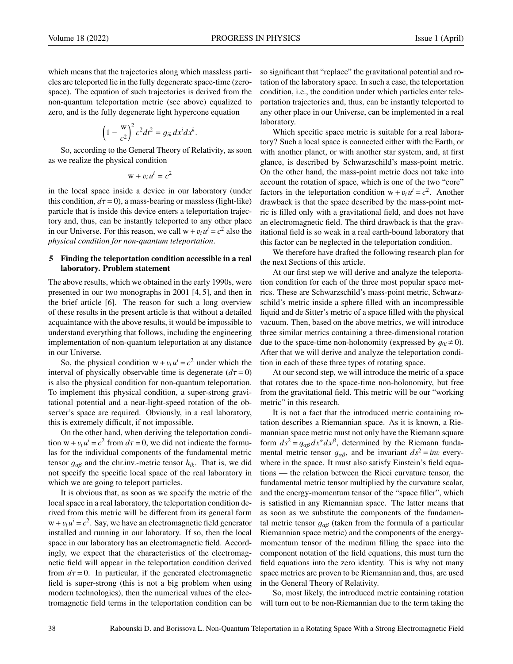which means that the trajectories along which massless particles are teleported lie in the fully degenerate space-time (zerospace). The equation of such trajectories is derived from the non-quantum teleportation metric (see above) equalized to zero, and is the fully degenerate light hypercone equation

$$
\left(1 - \frac{w}{c^2}\right)^2 c^2 dt^2 = g_{ik} dx^i dx^k
$$

So, according to the General Theory of Relativity, as soon as we realize the physical condition

$$
w + v_i u^i = c^2
$$

in the local space inside a device in our laboratory (under this condition,  $d\tau = 0$ ), a mass-bearing or massless (light-like) particle that is inside this device enters a teleportation trajectory and, thus, can be instantly teleported to any other place in our Universe. For this reason, we call  $w + v_i u^i = c^2$  also the *physical condition for non-quantum teleportation physical condition for non-quantum teleportation*.

#### 5 Finding the teleportation condition accessible in a real laboratory. Problem statement

The above results, which we obtained in the early 1990s, were presented in our two monographs in 2001 [4, 5], and then in the brief article [6]. The reason for such a long overview of these results in the present article is that without a detailed acquaintance with the above results, it would be impossible to understand everything that follows, including the engineering implementation of non-quantum teleportation at any distance in our Universe.

So, the physical condition  $w + v_i u^i = c^2$  under which the ryal of physically observable time is degenerate  $(d\tau = 0)$ interval of physically observable time is degenerate  $(d\tau = 0)$ is also the physical condition for non-quantum teleportation. To implement this physical condition, a super-strong gravitational potential and a near-light-speed rotation of the observer's space are required. Obviously, in a real laboratory, this is extremely difficult, if not impossible.

On the other hand, when deriving the teleportation condition  $w + v_i u^i = c^2$  from  $d\tau = 0$ , we did not indicate the formu-<br>las for the individual components of the fundamental metric las for the individual components of the fundamental metric tensor  $q_{\alpha\beta}$  and the chr.inv.-metric tensor  $h_{ik}$ . That is, we did not specify the specific local space of the real laboratory in which we are going to teleport particles.

It is obvious that, as soon as we specify the metric of the local space in a real laboratory, the teleportation condition derived from this metric will be different from its general form  $w + v_i u^i = c^2$ . Say, we have an electromagnetic field generator<br>installed and running in our laboratory. If so, then the local installed and running in our laboratory. If so, then the local space in our laboratory has an electromagnetic field. Accordingly, we expect that the characteristics of the electromagnetic field will appear in the teleportation condition derived from  $d\tau = 0$ . In particular, if the generated electromagnetic field is super-strong (this is not a big problem when using modern technologies), then the numerical values of the electromagnetic field terms in the teleportation condition can be so significant that "replace" the gravitational potential and rotation of the laboratory space. In such a case, the teleportation condition, i.e., the condition under which particles enter teleportation trajectories and, thus, can be instantly teleported to any other place in our Universe, can be implemented in a real laboratory.

Which specific space metric is suitable for a real laboratory? Such a local space is connected either with the Earth, or with another planet, or with another star system, and, at first glance, is described by Schwarzschild's mass-point metric. On the other hand, the mass-point metric does not take into account the rotation of space, which is one of the two "core" factors in the teleportation condition  $w + v_i u^i = c^2$ . Another<br>drawback is that the space described by the mass-point metdrawback is that the space described by the mass-point metric is filled only with a gravitational field, and does not have an electromagnetic field. The third drawback is that the gravitational field is so weak in a real earth-bound laboratory that this factor can be neglected in the teleportation condition.

We therefore have drafted the following research plan for the next Sections of this article.

At our first step we will derive and analyze the teleportation condition for each of the three most popular space metrics. These are Schwarzschild's mass-point metric, Schwarzschild's metric inside a sphere filled with an incompressible liquid and de Sitter's metric of a space filled with the physical vacuum. Then, based on the above metrics, we will introduce three similar metrics containing a three-dimensional rotation due to the space-time non-holonomity (expressed by  $q_{0i} \neq 0$ ). After that we will derive and analyze the teleportation condition in each of these three types of rotating space.

At our second step, we will introduce the metric of a space that rotates due to the space-time non-holonomity, but free from the gravitational field. This metric will be our "working metric" in this research.

It is not a fact that the introduced metric containing rotation describes a Riemannian space. As it is known, a Riemannian space metric must not only have the Riemann square form  $ds^2 = g_{\alpha\beta} dx^{\alpha} dx^{\beta}$ , determined by the Riemann funda-<br>mental metric tensor  $g_{\alpha\beta}$  and be invariant  $ds^2 = im$  everymental metric tensor  $q_{\alpha\beta}$ , and be invariant  $ds^2 = inv$  everywhere in the space. It must also satisfy Einstein's field equations — the relation between the Ricci curvature tensor, the fundamental metric tensor multiplied by the curvature scalar, and the energy-momentum tensor of the "space filler", which is satisfied in any Riemannian space. The latter means that as soon as we substitute the components of the fundamental metric tensor  $g_{\alpha\beta}$  (taken from the formula of a particular Riemannian space metric) and the components of the energymomentum tensor of the medium filling the space into the component notation of the field equations, this must turn the field equations into the zero identity. This is why not many space metrics are proven to be Riemannian and, thus, are used in the General Theory of Relativity.

So, most likely, the introduced metric containing rotation will turn out to be non-Riemannian due to the term taking the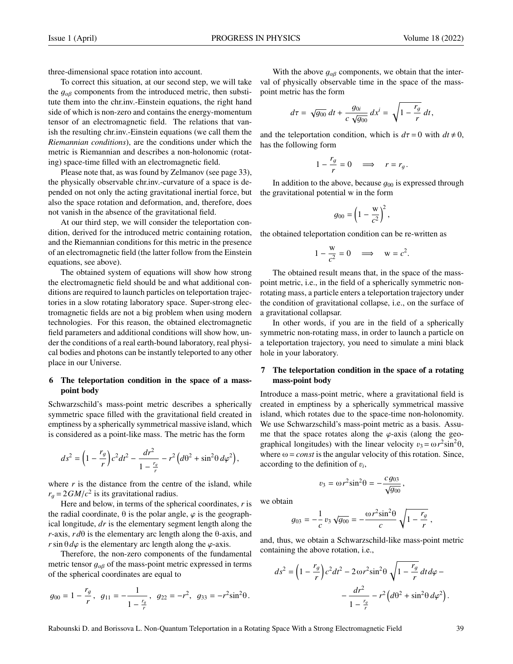three-dimensional space rotation into account.

To correct this situation, at our second step, we will take the  $g_{\alpha\beta}$  components from the introduced metric, then substitute them into the chr.inv.-Einstein equations, the right hand side of which is non-zero and contains the energy-momentum tensor of an electromagnetic field. The relations that vanish the resulting chr.inv.-Einstein equations (we call them the *Riemannian conditions*), are the conditions under which the metric is Riemannian and describes a non-holonomic (rotating) space-time filled with an electromagnetic field.

Please note that, as was found by Zelmanov (see page 33), the physically observable chr.inv.-curvature of a space is depended on not only the acting gravitational inertial force, but also the space rotation and deformation, and, therefore, does not vanish in the absence of the gravitational field.

At our third step, we will consider the teleportation condition, derived for the introduced metric containing rotation, and the Riemannian conditions for this metric in the presence of an electromagnetic field (the latter follow from the Einstein equations, see above).

The obtained system of equations will show how strong the electromagnetic field should be and what additional conditions are required to launch particles on teleportation trajectories in a slow rotating laboratory space. Super-strong electromagnetic fields are not a big problem when using modern technologies. For this reason, the obtained electromagnetic field parameters and additional conditions will show how, under the conditions of a real earth-bound laboratory, real physical bodies and photons can be instantly teleported to any other place in our Universe.

#### 6 The teleportation condition in the space of a masspoint body

Schwarzschild's mass-point metric describes a spherically symmetric space filled with the gravitational field created in emptiness by a spherically symmetrical massive island, which is considered as a point-like mass. The metric has the form

$$
ds^2 = \left(1 - \frac{r_g}{r}\right)c^2dt^2 - \frac{dr^2}{1 - \frac{r_g}{r}} - r^2\left(d\theta^2 + \sin^2\theta\,d\varphi^2\right),
$$

where  $r$  is the distance from the centre of the island, while  $r_g = 2GM/c^2$  is its gravitational radius.<br>Here and below in terms of the sph

Here and below, in terms of the spherical coordinates, *r* is the radial coordinate,  $\theta$  is the polar angle,  $\varphi$  is the geographical longitude, *dr* is the elementary segment length along the *r*-axis, *r d*θ is the elementary arc length along the θ-axis, and *r*sin  $\theta d\varphi$  is the elementary arc length along the  $\varphi$ -axis.

Therefore, the non-zero components of the fundamental metric tensor  $g_{\alpha\beta}$  of the mass-point metric expressed in terms of the spherical coordinates are equal to

$$
g_{00} = 1 - \frac{r_g}{r}
$$
,  $g_{11} = -\frac{1}{1 - \frac{r_g}{r}}$ ,  $g_{22} = -r^2$ ,  $g_{33} = -r^2 \sin^2 \theta$ .

With the above  $g_{\alpha\beta}$  components, we obtain that the interval of physically observable time in the space of the masspoint metric has the form

$$
d\tau = \sqrt{g_{00}} \, dt + \frac{g_{0i}}{c \, \sqrt{g_{00}}} \, dx^i = \sqrt{1 - \frac{r_g}{r}} \, dt,
$$

and the teleportation condition, which is  $d\tau = 0$  with  $dt \neq 0$ , has the following form

$$
1 - \frac{r_g}{r} = 0 \quad \Longrightarrow \quad r = r_g.
$$

In addition to the above, because  $g_{00}$  is expressed through the gravitational potential w in the form

$$
g_{00} = \left(1 - \frac{\mathrm{w}}{c^2}\right)^2,
$$

the obtained teleportation condition can be re-written as

$$
1 - \frac{w}{c^2} = 0 \quad \Longrightarrow \quad w = c^2.
$$

The obtained result means that, in the space of the masspoint metric, i.e., in the field of a spherically symmetric nonrotating mass, a particle enters a teleportation trajectory under the condition of gravitational collapse, i.e., on the surface of a gravitational collapsar.

In other words, if you are in the field of a spherically symmetric non-rotating mass, in order to launch a particle on a teleportation trajectory, you need to simulate a mini black hole in your laboratory.

#### 7 The teleportation condition in the space of a rotating mass-point body

Introduce a mass-point metric, where a gravitational field is created in emptiness by a spherically symmetrical massive island, which rotates due to the space-time non-holonomity. We use Schwarzschild's mass-point metric as a basis. Assume that the space rotates along the  $\varphi$ -axis (along the geographical longitudes) with the linear velocity  $v_3 = \omega r^2 \sin^2{\theta}$ ,<br>where  $\omega = const$  is the angular velocity of this rotation. Since where  $\omega = const$  is the angular velocity of this rotation. Since, according to the definition of  $v_i$ ,

$$
v_3 = \omega r^2 \sin^2 \theta = -\frac{c g_{03}}{\sqrt{g_{00}}}
$$

,

we obtain

$$
g_{03} = -\frac{1}{c} v_3 \sqrt{g_{00}} = -\frac{\omega r^2 \sin^2 \theta}{c} \sqrt{1 - \frac{r_g}{r}},
$$

and, thus, we obtain a Schwarzschild-like mass-point metric containing the above rotation, i.e.,

$$
ds^{2} = \left(1 - \frac{r_g}{r}\right)c^{2}dt^{2} - 2\omega r^{2}\sin^{2}\theta\sqrt{1 - \frac{r_g}{r}}dt d\varphi - \frac{dr^{2}}{1 - \frac{r_g}{r}} - r^{2}\left(d\theta^{2} + \sin^{2}\theta d\varphi^{2}\right).
$$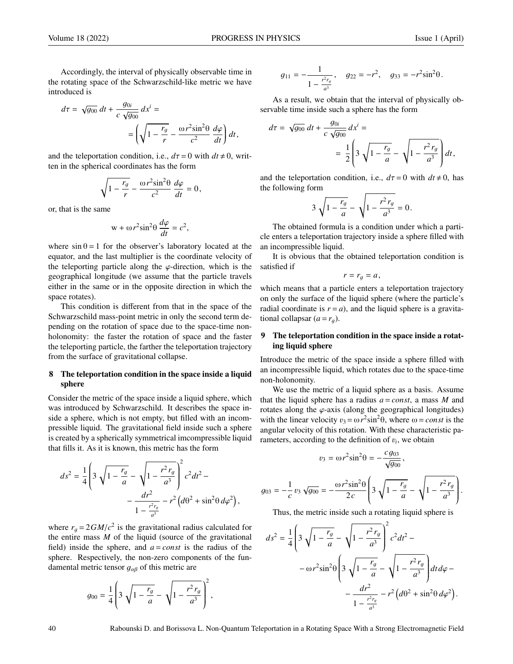Accordingly, the interval of physically observable time in the rotating space of the Schwarzschild-like metric we have introduced is

$$
d\tau = \sqrt{g_{00}} dt + \frac{g_{0i}}{c \sqrt{g_{00}}} dx^{i} =
$$

$$
= \left(\sqrt{1 - \frac{r_g}{r}} - \frac{\omega r^{2} \sin^{2} \theta}{c^{2}} \frac{d\varphi}{dt}\right) dt,
$$

and the teleportation condition, i.e.,  $d\tau = 0$  with  $dt \neq 0$ , written in the spherical coordinates has the form

$$
\sqrt{1-\frac{r_g}{r}} - \frac{\omega r^2 \sin^2\theta}{c^2} \frac{d\varphi}{dt} = 0,
$$

or, that is the same

$$
w + \omega r^2 \sin^2 \theta \, \frac{d\varphi}{dt} = c^2,
$$

where  $\sin \theta = 1$  for the observer's laboratory located at the equator, and the last multiplier is the coordinate velocity of the teleporting particle along the  $\varphi$ -direction, which is the geographical longitude (we assume that the particle travels either in the same or in the opposite direction in which the space rotates).

This condition is different from that in the space of the Schwarzschild mass-point metric in only the second term depending on the rotation of space due to the space-time nonholonomity: the faster the rotation of space and the faster the teleporting particle, the farther the teleportation trajectory from the surface of gravitational collapse.

#### 8 The teleportation condition in the space inside a liquid sphere

Consider the metric of the space inside a liquid sphere, which was introduced by Schwarzschild. It describes the space inside a sphere, which is not empty, but filled with an incompressible liquid. The gravitational field inside such a sphere is created by a spherically symmetrical imcompressible liquid that fills it. As it is known, this metric has the form

$$
ds^{2} = \frac{1}{4} \left( 3 \sqrt{1 - \frac{r_g}{a}} - \sqrt{1 - \frac{r^2 r_g}{a^3}} \right)^{2} c^{2} dt^{2} - \frac{dr^{2}}{1 - \frac{r^2 r_g}{a^3}} - r^{2} \left( d\theta^{2} + \sin^{2} \theta d\varphi^{2} \right),
$$

where  $r_g = 2GM/c^2$  is the gravitational radius calculated for<br>the entire mass M of the liquid (source of the gravitational the entire mass *M* of the liquid (source of the gravitational field) inside the sphere, and  $a = const$  is the radius of the sphere. Respectively, the non-zero components of the fundamental metric tensor  $g_{\alpha\beta}$  of this metric are

$$
g_{00} = \frac{1}{4} \left( 3 \sqrt{1 - \frac{r_g}{a}} - \sqrt{1 - \frac{r^2 r_g}{a^3}} \right)^2,
$$

$$
g_{11}=-\frac{1}{1-\frac{r^2r_g}{a^3}},\quad g_{22}=-r^2,\quad g_{33}=-r^2\sin^2\theta.
$$

As a result, we obtain that the interval of physically observable time inside such a sphere has the form

$$
d\tau = \sqrt{g_{00}} dt + \frac{g_{0i}}{c \sqrt{g_{00}}} dx^{i} =
$$
  
=  $\frac{1}{2} \left( 3 \sqrt{1 - \frac{r_g}{a}} - \sqrt{1 - \frac{r^2 r_g}{a^3}} \right) dt,$ 

and the teleportation condition, i.e.,  $d\tau = 0$  with  $dt \neq 0$ , has the following form

$$
3\,\sqrt{1-\frac{r_g}{a}}-\sqrt{1-\frac{r^2\,r_g}{a^3}}=0\,.
$$

The obtained formula is a condition under which a particle enters a teleportation trajectory inside a sphere filled with an incompressible liquid.

It is obvious that the obtained teleportation condition is satisfied if

$$
r=r_g=a,
$$

which means that a particle enters a teleportation trajectory on only the surface of the liquid sphere (where the particle's radial coordinate is  $r = a$ ), and the liquid sphere is a gravitational collapsar  $(a = r_a)$ .

#### 9 The teleportation condition in the space inside a rotating liquid sphere

Introduce the metric of the space inside a sphere filled with an incompressible liquid, which rotates due to the space-time non-holonomity.

We use the metric of a liquid sphere as a basis. Assume that the liquid sphere has a radius  $a = const$ , a mass *M* and rotates along the  $\varphi$ -axis (along the geographical longitudes) with the linear velocity  $v_3 = \omega r^2 \sin^2 \theta$ , where  $\omega = const$  is the angular velocity of this rotation. With these characteristic paangular velocity of this rotation. With these characteristic parameters, according to the definition of  $v_i$ , we obtain

$$
v_3 = \omega r^2 \sin^2 \theta = -\frac{c g_{03}}{\sqrt{g_{00}}},
$$

$$
g_{03} = -\frac{1}{c} v_3 \sqrt{g_{00}} = -\frac{\omega r^2 \sin^2 \theta}{2c} \left( 3 \sqrt{1 - \frac{r_g}{a}} - \sqrt{1 - \frac{r^2 r_g}{a^3}} \right).
$$

Thus, the metric inside such a rotating liquid sphere is

$$
ds^{2} = \frac{1}{4} \left( 3 \sqrt{1 - \frac{r_{g}}{a}} - \sqrt{1 - \frac{r^{2} r_{g}}{a^{3}}} \right)^{2} c^{2} dt^{2} -
$$

$$
- \omega r^{2} \sin^{2} \theta \left( 3 \sqrt{1 - \frac{r_{g}}{a}} - \sqrt{1 - \frac{r^{2} r_{g}}{a^{3}}} \right) dt d\varphi -
$$

$$
- \frac{dr^{2}}{1 - \frac{r^{2} r_{g}}{a^{3}}} - r^{2} \left( d\theta^{2} + \sin^{2} \theta d\varphi^{2} \right).
$$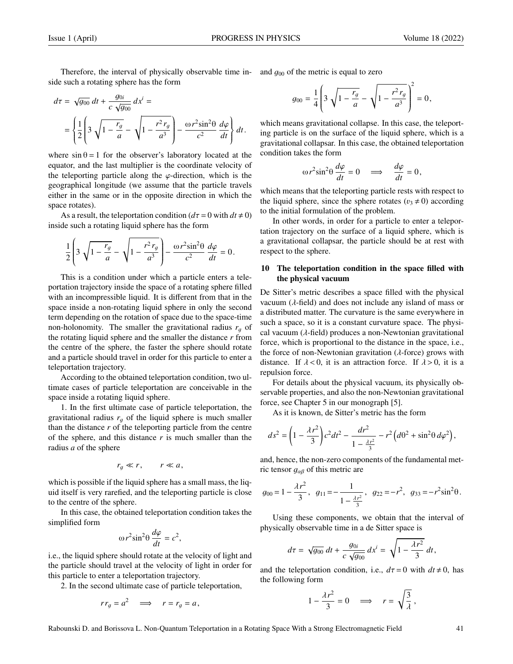Therefore, the interval of physically observable time in- and  $g_{00}$  of the metric is equal to zero such a rotating sphere has the form side such a rotating sphere has the form

$$
d\tau = \sqrt{g_{00}} dt + \frac{g_{0i}}{c \sqrt{g_{00}}} dx^{i} =
$$
  
= 
$$
\left\{ \frac{1}{2} \left[ 3 \sqrt{1 - \frac{r_g}{a}} - \sqrt{1 - \frac{r^2 r_g}{a^3}} \right] - \frac{\omega r^2 \sin^2 \theta}{c^2} \frac{d\varphi}{dt} \right\} dt.
$$

where  $\sin \theta = 1$  for the observer's laboratory located at the equator, and the last multiplier is the coordinate velocity of the teleporting particle along the  $\varphi$ -direction, which is the geographical longitude (we assume that the particle travels either in the same or in the opposite direction in which the space rotates).

As a result, the teleportation condition  $(d\tau = 0$  with  $dt \neq 0$ ) inside such a rotating liquid sphere has the form

$$
\frac{1}{2}\left(3\sqrt{1-\frac{r_g}{a}}-\sqrt{1-\frac{r^2r_g}{a^3}}\right)-\frac{\omega r^2\sin^2\theta}{c^2}\frac{d\varphi}{dt}=0.
$$

This is a condition under which a particle enters a teleportation trajectory inside the space of a rotating sphere filled with an incompressible liquid. It is different from that in the space inside a non-rotating liquid sphere in only the second term depending on the rotation of space due to the space-time non-holonomity. The smaller the gravitational radius  $r<sub>q</sub>$  of the rotating liquid sphere and the smaller the distance *r* from the centre of the sphere, the faster the sphere should rotate and a particle should travel in order for this particle to enter a teleportation trajectory.

According to the obtained teleportation condition, two ultimate cases of particle teleportation are conceivable in the space inside a rotating liquid sphere.

1. In the first ultimate case of particle teleportation, the gravitational radius  $r_a$  of the liquid sphere is much smaller than the distance *r* of the teleporting particle from the centre of the sphere, and this distance *r* is much smaller than the radius *a* of the sphere

$$
r_g \ll r, \qquad r \ll a,
$$

which is possible if the liquid sphere has a small mass, the liquid itself is very rarefied, and the teleporting particle is close to the centre of the sphere.

In this case, the obtained teleportation condition takes the simplified form

$$
\omega r^2 \sin^2 \theta \, \frac{d\varphi}{dt} = c^2,
$$

i.e., the liquid sphere should rotate at the velocity of light and the particle should travel at the velocity of light in order for this particle to enter a teleportation trajectory.

2. In the second ultimate case of particle teleportation,

$$
rr_g = a^2 \quad \Longrightarrow \quad r = r_g = a,
$$

$$
g_{00} = \frac{1}{4} \left( 3 \sqrt{1 - \frac{r_g}{a}} - \sqrt{1 - \frac{r^2 r_g}{a^3}} \right)^2 = 0,
$$

which means gravitational collapse. In this case, the teleporting particle is on the surface of the liquid sphere, which is a gravitational collapsar. In this case, the obtained teleportation condition takes the form

$$
\omega r^2 \sin^2 \theta \frac{d\varphi}{dt} = 0 \quad \Longrightarrow \quad \frac{d\varphi}{dt} = 0,
$$

which means that the teleporting particle rests with respect to the liquid sphere, since the sphere rotates ( $v_3 \neq 0$ ) according to the initial formulation of the problem.

In other words, in order for a particle to enter a teleportation trajectory on the surface of a liquid sphere, which is a gravitational collapsar, the particle should be at rest with respect to the sphere.

# 10 The teleportation condition in the space filled with the physical vacuum

De Sitter's metric describes a space filled with the physical vacuum  $(\lambda$ -field) and does not include any island of mass or a distributed matter. The curvature is the same everywhere in such a space, so it is a constant curvature space. The physical vacuum ( $\lambda$ -field) produces a non-Newtonian gravitational force, which is proportional to the distance in the space, i.e., the force of non-Newtonian gravitation ( $\lambda$ -force) grows with distance. If  $\lambda < 0$ , it is an attraction force. If  $\lambda > 0$ , it is a repulsion force.

For details about the physical vacuum, its physically observable properties, and also the non-Newtonian gravitational force, see Chapter 5 in our monograph [5].

As it is known, de Sitter's metric has the form

$$
ds^{2} = \left(1 - \frac{\lambda r^{2}}{3}\right)c^{2}dt^{2} - \frac{dr^{2}}{1 - \frac{\lambda r^{2}}{3}} - r^{2}\left(d\theta^{2} + \sin^{2}\theta \, d\varphi^{2}\right),
$$

and, hence, the non-zero components of the fundamental metric tensor  $g_{\alpha\beta}$  of this metric are

$$
g_{00} = 1 - \frac{\lambda r^2}{3}
$$
,  $g_{11} = -\frac{1}{1 - \frac{\lambda r^2}{3}}$ ,  $g_{22} = -r^2$ ,  $g_{33} = -r^2 \sin^2 \theta$ .

Using these components, we obtain that the interval of physically observable time in a de Sitter space is

$$
d\tau = \sqrt{g_{00}} \, dt + \frac{g_{0i}}{c \, \sqrt{g_{00}}} \, dx^i = \sqrt{1 - \frac{\lambda r^2}{3}} \, dt,
$$

and the teleportation condition, i.e.,  $d\tau = 0$  with  $dt \neq 0$ , has the following form

$$
1 - \frac{\lambda r^2}{3} = 0 \quad \Longrightarrow \quad r = \sqrt{\frac{3}{\lambda}},
$$

Rabounski D. and Borissova L. Non-Quantum Teleportation in a Rotating Space With a Strong Electromagnetic Field 41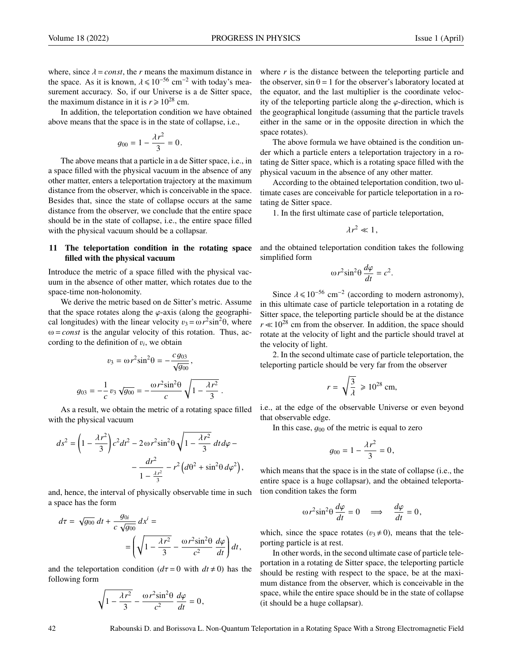where, since  $\lambda = const$ , the *r* means the maximum distance in the space. As it is known,  $\lambda \le 10^{-56}$  cm<sup>-2</sup> with today's measurement accuracy. So, if our Universe is a de Sitter space, the maximum distance in it is  $r \ge 10^{28}$  cm.

In addition, the teleportation condition we have obtained above means that the space is in the state of collapse, i.e.,

$$
g_{00} = 1 - \frac{\lambda r^2}{3} = 0.
$$

The above means that a particle in a de Sitter space, i.e., in a space filled with the physical vacuum in the absence of any other matter, enters a teleportation trajectory at the maximum distance from the observer, which is conceivable in the space. Besides that, since the state of collapse occurs at the same distance from the observer, we conclude that the entire space should be in the state of collapse, i.e., the entire space filled with the physical vacuum should be a collapsar.

# 11 The teleportation condition in the rotating space filled with the physical vacuum

Introduce the metric of a space filled with the physical vacuum in the absence of other matter, which rotates due to the space-time non-holonomity.

We derive the metric based on de Sitter's metric. Assume that the space rotates along the  $\varphi$ -axis (along the geographical longitudes) with the linear velocity  $v_3 = \omega r^2 \sin^2 \theta$ , where  $\omega = const$  is the angular velocity of this rotation. Thus, ac- $\omega = const$  is the angular velocity of this rotation. Thus, according to the definition of  $v_i$ , we obtain

$$
v_3 = \omega r^2 \sin^2 \theta = -\frac{c g_{03}}{\sqrt{g_{00}}},
$$

$$
g_{03} = -\frac{1}{c} v_3 \sqrt{g_{00}} = -\frac{\omega r^2 \sin^2 \theta}{c} \sqrt{1 - \frac{\lambda r^2}{3}}.
$$

As a result, we obtain the metric of a rotating space filled with the physical vacuum

$$
ds^{2} = \left(1 - \frac{\lambda r^{2}}{3}\right)c^{2}dt^{2} - 2 \omega r^{2} \sin^{2}\theta \sqrt{1 - \frac{\lambda r^{2}}{3}} dt d\varphi - \frac{dr^{2}}{1 - \frac{\lambda r^{2}}{3}} - r^{2} \left(d\theta^{2} + \sin^{2}\theta d\varphi^{2}\right),
$$

and, hence, the interval of physically observable time in such a space has the form

$$
d\tau = \sqrt{g_{00}} dt + \frac{g_{0i}}{c \sqrt{g_{00}}} dx^{i} =
$$

$$
= \left(\sqrt{1 - \frac{\lambda r^{2}}{3}} - \frac{\omega r^{2} \sin^{2} \theta}{c^{2}} \frac{d\varphi}{dt}\right) dt,
$$

and the teleportation condition  $(d\tau = 0$  with  $dt \neq 0$ ) has the following form

$$
\sqrt{1-\frac{\lambda r^2}{3}}-\frac{\omega r^2 \textrm{sin}^2\theta}{c^2}\,\frac{d\varphi}{dt}=0\,,
$$

where *r* is the distance between the teleporting particle and the observer,  $\sin \theta = 1$  for the observer's laboratory located at the equator, and the last multiplier is the coordinate velocity of the teleporting particle along the  $\varphi$ -direction, which is the geographical longitude (assuming that the particle travels either in the same or in the opposite direction in which the space rotates).

The above formula we have obtained is the condition under which a particle enters a teleportation trajectory in a rotating de Sitter space, which is a rotating space filled with the physical vacuum in the absence of any other matter.

According to the obtained teleportation condition, two ultimate cases are conceivable for particle teleportation in a rotating de Sitter space.

1. In the first ultimate case of particle teleportation,

$$
\lambda r^2 \ll 1,
$$

and the obtained teleportation condition takes the following simplified form

$$
\omega r^2 \sin^2 \theta \, \frac{d\varphi}{dt} = c^2.
$$

Since  $\lambda \le 10^{-56}$  cm<sup>-2</sup> (according to modern astronomy), his ultimate case of particle teleportation in a rotating de in this ultimate case of particle teleportation in a rotating de Sitter space, the teleporting particle should be at the distance  $r \ll 10^{28}$  cm from the observer. In addition, the space should rotate at the velocity of light and the particle should travel at the velocity of light.

2. In the second ultimate case of particle teleportation, the teleporting particle should be very far from the observer

$$
r = \sqrt{\frac{3}{\lambda}} \ge 10^{28} \text{ cm},
$$

i.e., at the edge of the observable Universe or even beyond that observable edge.

In this case,  $g_{00}$  of the metric is equal to zero

$$
g_{00} = 1 - \frac{\lambda r^2}{3} = 0,
$$

which means that the space is in the state of collapse (i.e., the entire space is a huge collapsar), and the obtained teleportation condition takes the form

$$
\omega r^2 \sin^2 \theta \frac{d\varphi}{dt} = 0 \quad \Longrightarrow \quad \frac{d\varphi}{dt} = 0,
$$

which, since the space rotates ( $v_3 \neq 0$ ), means that the teleporting particle is at rest.

In other words, in the second ultimate case of particle teleportation in a rotating de Sitter space, the teleporting particle should be resting with respect to the space, be at the maximum distance from the observer, which is conceivable in the space, while the entire space should be in the state of collapse (it should be a huge collapsar).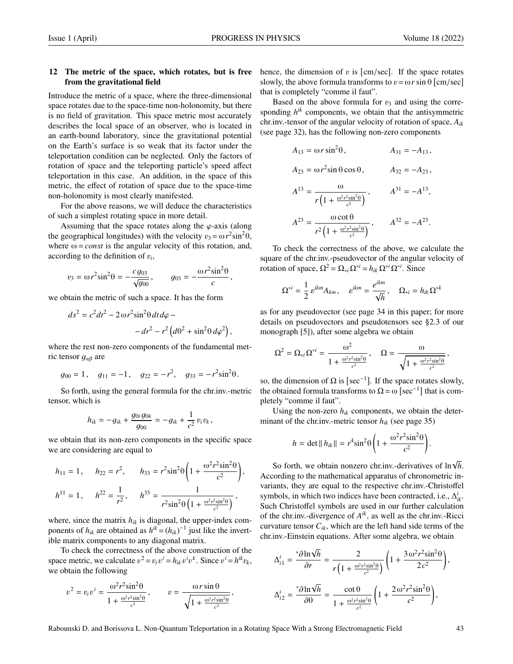# 12 The metric of the space, which rotates, but is free from the gravitational field

Introduce the metric of a space, where the three-dimensional space rotates due to the space-time non-holonomity, but there is no field of gravitation. This space metric most accurately describes the local space of an observer, who is located in an earth-bound laboratory, since the gravitational potential on the Earth's surface is so weak that its factor under the teleportation condition can be neglected. Only the factors of rotation of space and the teleporting particle's speed affect teleportation in this case. An addition, in the space of this metric, the effect of rotation of space due to the space-time non-holonomity is most clearly manifested.

For the above reasons, we will deduce the characteristics of such a simplest rotating space in more detail.

Assuming that the space rotates along the  $\varphi$ -axis (along the geographical longitudes) with the velocity  $v_3 = \omega r^2 \sin^2 \theta$ ,<br>where  $\omega = const$  is the angular velocity of this rotation, and where  $\omega = const$  is the angular velocity of this rotation, and, according to the definition of  $v_i$ ,

$$
v_3 = \omega r^2 \sin^2 \theta = -\frac{c g_{03}}{\sqrt{g_{00}}}, \qquad g_{03} = -\frac{\omega r^2 \sin^2 \theta}{c},
$$

we obtain the metric of such a space. It has the form

$$
ds^{2} = c^{2}dt^{2} - 2 \omega r^{2} \sin^{2} \theta dt d\varphi - dr^{2} - r^{2} (d\theta^{2} + \sin^{2} \theta d\varphi^{2}),
$$

where the rest non-zero components of the fundamental metric tensor  $g_{\alpha\beta}$  are

$$
g_{00} = 1
$$
,  $g_{11} = -1$ ,  $g_{22} = -r^2$ ,  $g_{33} = -r^2 \sin^2 \theta$ .

So forth, using the general formula for the chr.inv.-metric tensor, which is

$$
h_{ik} = -g_{ik} + \frac{g_{0i}g_{0k}}{g_{00}} = -g_{ik} + \frac{1}{c^2} v_i v_k,
$$

we obtain that its non-zero components in the specific space we are considering are equal to

$$
h_{11} = 1, \quad h_{22} = r^2, \quad h_{33} = r^2 \sin^2 \theta \left( 1 + \frac{\omega^2 r^2 \sin^2 \theta}{c^2} \right),
$$
  

$$
h^{11} = 1, \quad h^{22} = \frac{1}{r^2}, \quad h^{33} = \frac{1}{r^2 \sin^2 \theta \left( 1 + \frac{\omega^2 r^2 \sin^2 \theta}{c^2} \right)},
$$

where, since the matrix  $h_{ik}$  is diagonal, the upper-index components of  $h_{ik}$  are obtained as  $h^{ik} = (h_{ik})^{-1}$  just like the invertible matrix components to any diagonal matrix.

To check the correctness of the above construction of the space metric, we calculate  $v^2 = v_i v^i = h_{ik} v^i$ <br>we obtain the following  $k$ . Since  $v^i = h^{ik}v_k$ , we obtain the following

$$
v^{2} = v_{i}v^{i} = \frac{\omega^{2}r^{2}\sin^{2}\theta}{1 + \frac{\omega^{2}r^{2}\sin^{2}\theta}{c^{2}}}, \qquad v = \frac{\omega r \sin \theta}{\sqrt{1 + \frac{\omega^{2}r^{2}\sin^{2}\theta}{c^{2}}}},
$$

hence, the dimension of v is [cm/sec]. If the space rotates<br>slowly the shove formula transforms to  $v = \omega r \sin \theta$  [cm/sec] slowly, the above formula transforms to  $v = \omega r \sin \theta$  [cm/sec]<br>that is completely "comme il faut" that is completely "comme il faut".

Based on the above formula for  $v_3$  and using the corresponding  $h^{ik}$  components, we obtain that the antisymmetric chr.inv.-tensor of the angular velocity of rotation of space, *Aik* (see page 32), has the following non-zero components

$$
A_{13} = \omega r \sin^2 \theta, \qquad A_{31} = -A_{13},
$$
  
\n
$$
A_{23} = \omega r^2 \sin \theta \cos \theta, \qquad A_{32} = -A_{23},
$$
  
\n
$$
A^{13} = \frac{\omega}{r \left(1 + \frac{\omega^2 r^2 \sin^2 \theta}{c^2}\right)}, \qquad A^{31} = -A^{13},
$$
  
\n
$$
A^{23} = \frac{\omega \cot \theta}{r^2 \left(1 + \frac{\omega^2 r^2 \sin^2 \theta}{c^2}\right)}, \qquad A^{32} = -A^{23}.
$$

To check the correctness of the above, we calculate the square of the chr.inv.-pseudovector of the angular velocity of rotation of space,  $\Omega^2 = \Omega_{*i} \Omega^{*i} = h_{ik} \Omega^{*i} \Omega^{*i}$ . Since

$$
\Omega^{*i} = \frac{1}{2} \varepsilon^{ikm} A_{km}, \quad \varepsilon^{ikm} = \frac{e^{ikm}}{\sqrt{h}}, \quad \Omega_{*i} = h_{ik} \Omega^{*k}
$$

as for any pseudovector (see page 34 in this paper; for more details on pseudovectors and pseudotensors see §2.3 of our monograph [5]), after some algebra we obtain

$$
\Omega^2 = \Omega_{*i}\Omega^{*i} = \frac{\omega^2}{1 + \frac{\omega^2 r^2 \sin^2 \theta}{c^2}}, \quad \Omega = \frac{\omega}{\sqrt{1 + \frac{\omega^2 r^2 \sin^2 \theta}{c^2}}},
$$

so, the dimension of  $\Omega$  is [sec<sup>-1</sup>]. If the space rotates slowly, the obtained formula transforms to  $\Omega = \omega$  [sec<sup>-1</sup>] that is completely "comme il faut".

Using the non-zero  $h_{ik}$  components, we obtain the determinant of the chr.inv.-metric tensor *hik* (see page 35)

$$
h = \det ||h_{ik}|| = r^4 \sin^2 \theta \left( 1 + \frac{\omega^2 r^2 \sin^2 \theta}{c^2} \right)
$$

So forth, we obtain nonzero chr.inv.-derivatives of ln<sup>√</sup> *h*. According to the mathematical apparatus of chronometric invariants, they are equal to the respective chr.inv.-Christoffel symbols, in which two indices have been contracted, i.e.,  $\Delta_{ik}^i$ . Such Christoffel symbols are used in our further calculation of the chr.inv.-divergence of  $A^{ik}$ , as well as the chr.inv.-Ricci curvature tensor  $C_{ik}$ , which are the left hand side terms of the chr.inv.-Einstein equations. After some algebra, we obtain

$$
\Delta_{i1}^{i} = \frac{\sqrt[*]{\text{ln}\sqrt{h}}}{\partial r} = \frac{2}{r\left(1 + \frac{\omega^{2}r^{2}\sin^{2}\theta}{c^{2}}\right)}\left(1 + \frac{3\omega^{2}r^{2}\sin^{2}\theta}{2c^{2}}\right),
$$
\n
$$
\Delta_{i2}^{i} = \frac{\sqrt[*]{\text{ln}\sqrt{h}}}{\partial \theta} = \frac{\cot\theta}{1 + \frac{\omega^{2}r^{2}\sin^{2}\theta}{c^{2}}}\left(1 + \frac{2\omega^{2}r^{2}\sin^{2}\theta}{c^{2}}\right),
$$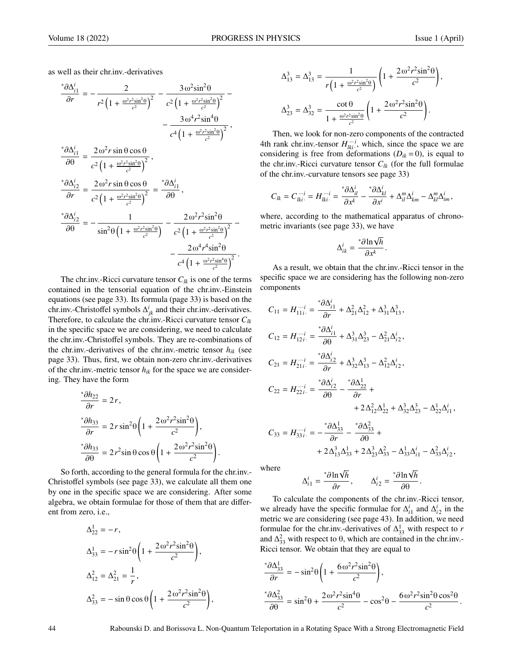as well as their chr.inv.-derivatives

$$
\frac{\partial \Delta_{i1}^{i}}{\partial r} = -\frac{2}{r^{2} \left(1 + \frac{\omega^{2} r^{2} \sin^{2} \theta}{c^{2}}\right)^{2}} - \frac{3 \omega^{2} \sin^{2} \theta}{c^{2} \left(1 + \frac{\omega^{2} r^{2} \sin^{2} \theta}{c^{2}}\right)^{2}} - \frac{3 \omega^{4} r^{2} \sin^{4} \theta}{c^{4} \left(1 + \frac{\omega^{2} r^{2} \sin^{4} \theta}{c^{2}}\right)^{2}},
$$
\n
$$
\frac{\partial \Delta_{i1}^{i}}{\partial \theta} = \frac{2 \omega^{2} r \sin \theta \cos \theta}{c^{2} \left(1 + \frac{\omega^{2} r^{2} \sin^{2} \theta}{c^{2}}\right)^{2}},
$$
\n
$$
\frac{\partial \Delta_{i2}^{i}}{\partial r} = \frac{2 \omega^{2} r \sin \theta \cos \theta}{c^{2} \left(1 + \frac{\omega^{2} r^{2} \sin^{2} \theta}{c^{2}}\right)^{2}} = \frac{\partial \Delta_{i1}^{i}}{\partial \theta},
$$
\n
$$
\frac{\partial \Delta_{i2}^{i}}{\partial \theta} = -\frac{1}{\sin^{2} \theta \left(1 + \frac{\omega^{2} r^{2} \sin^{2} \theta}{c^{2}}\right)} - \frac{2 \omega^{2} r^{2} \sin^{2} \theta}{c^{2} \left(1 + \frac{\omega^{2} r^{2} \sin^{2} \theta}{c^{2}}\right)^{2}} - \frac{2 \omega^{4} r^{4} \sin^{2} \theta}{c^{4} \left(1 + \frac{\omega^{2} r^{2} \sin^{4} \theta}{c^{2}}\right)^{2}}.
$$

The chr.inv.-Ricci curvature tensor  $C_{lk}$  is one of the terms contained in the tensorial equation of the chr.inv.-Einstein equations (see page 33). Its formula (page 33) is based on the chr.inv.-Christoffel symbols  $\Delta^i_{jk}$  and their chr.inv.-derivatives. Therefore, to calculate the chr.inv.-Ricci curvature tensor *Clk* in the specific space we are considering, we need to calculate the chr.inv.-Christoffel symbols. They are re-combinations of the chr.inv.-derivatives of the chr.inv.-metric tensor  $h_{ik}$  (see page 33). Thus, first, we obtain non-zero chr.inv.-derivatives of the chr.inv.-metric tensor  $h_{ik}$  for the space we are considering. They have the form

$$
\frac{\partial h_{22}}{\partial r} = 2r,
$$
  

$$
\frac{\partial h_{33}}{\partial r} = 2r \sin^2 \theta \left( 1 + \frac{2 \omega^2 r^2 \sin^2 \theta}{c^2} \right),
$$
  

$$
\frac{\partial h_{33}}{\partial \theta} = 2r^2 \sin \theta \cos \theta \left( 1 + \frac{2 \omega^2 r^2 \sin^2 \theta}{c^2} \right).
$$

So forth, according to the general formula for the chr.inv.- Christoffel symbols (see page 33), we calculate all them one by one in the specific space we are considering. After some algebra, we obtain formulae for those of them that are different from zero, i.e.,

$$
\Delta_{22}^1 = -r,
$$
  
\n
$$
\Delta_{33}^1 = -r \sin^2 \theta \left( 1 + \frac{2 \omega^2 r^2 \sin^2 \theta}{c^2} \right),
$$
  
\n
$$
\Delta_{12}^2 = \Delta_{21}^2 = \frac{1}{r},
$$
  
\n
$$
\Delta_{33}^2 = -\sin \theta \cos \theta \left( 1 + \frac{2 \omega^2 r^2 \sin^2 \theta}{c^2} \right),
$$

$$
\Delta_{13}^3 = \Delta_{13}^3 = \frac{1}{r \left( 1 + \frac{\omega^2 r^2 \sin^2 \theta}{c^2} \right)} \left( 1 + \frac{2 \omega^2 r^2 \sin^2 \theta}{c^2} \right),
$$
  

$$
\Delta_{23}^3 = \Delta_{32}^3 = \frac{\cot \theta}{1 + \frac{\omega^2 r^2 \sin^2 \theta}{c^2}} \left( 1 + \frac{2 \omega^2 r^2 \sin^2 \theta}{c^2} \right).
$$

Then, we look for non-zero components of the contracted 4th rank chr.inv.-tensor  $H_{lki}^{i}$ , which, since the space we are considering is free from deformations  $(D_{ik} = 0)$ , is equal to the chr.inv.-Ricci curvature tensor  $C_{lk}$  (for the full formulae of the chr.inv.-curvature tensors see page 33)

$$
C_{lk} = C_{lki}^{\cdots i} = H_{lki}^{\cdots i} = \frac{\partial \Delta_{il}^i}{\partial x^k} - \frac{\partial \Delta_{kl}^i}{\partial x^i} + \Delta_{il}^m \Delta_{km}^i - \Delta_{kl}^m \Delta_{im}^i,
$$

where, according to the mathematical apparatus of chronometric invariants (see page 33), we have

$$
\Delta_{ik}^i = \frac{\partial \ln \sqrt{h}}{\partial x^k}.
$$

As a result, we obtain that the chr.inv.-Ricci tensor in the specific space we are considering has the following non-zero components

$$
C_{11} = H_{11i}^{...i} = \frac{\partial \Delta_{i1}^{i}}{\partial r} + \Delta_{21}^{2} \Delta_{12}^{2} + \Delta_{31}^{3} \Delta_{13}^{3},
$$
  
\n
$$
C_{12} = H_{12i}^{...i} = \frac{\partial \Delta_{i1}^{i}}{\partial \theta} + \Delta_{31}^{3} \Delta_{23}^{3} - \Delta_{21}^{2} \Delta_{i2}^{i},
$$
  
\n
$$
C_{21} = H_{21i}^{...i} = \frac{\partial \Delta_{i2}^{i}}{\partial r} + \Delta_{32}^{3} \Delta_{13}^{3} - \Delta_{12}^{2} \Delta_{i2}^{i},
$$
  
\n
$$
C_{22} = H_{22i}^{...i} = \frac{\partial \Delta_{i2}^{i}}{\partial \theta} - \frac{\partial \Delta_{22}^{1}}{\partial r} + \frac{\partial \Delta_{22}^{2}}{\partial \theta^{2}} + \frac{\partial \Delta_{22}^{2} \Delta_{22}^{1}}{\partial \theta^{2}} + \Delta_{32}^{3} \Delta_{23}^{3} - \Delta_{22}^{1} \Delta_{i1}^{i},
$$
  
\n
$$
C_{33} = H_{33i}^{...i} = -\frac{\partial \Delta_{33}^{1}}{\partial r} - \frac{\partial \Delta_{33}^{2}}{\partial \theta} + \frac{\partial \Delta_{33}^{2}}{\partial \theta^{3}} + \frac{\partial \Delta_{33}^{2}}{\partial \theta^{3}} - \Delta_{33}^{1} \Delta_{i1}^{i} - \Delta_{33}^{2} \Delta_{i2}^{i},
$$

where

$$
\Delta_{i1}^i = \frac{\partial \ln \sqrt{h}}{\partial r}, \qquad \Delta_{i2}^i = \frac{\partial \ln \sqrt{h}}{\partial \theta}.
$$

 $\frac{\partial r}{\partial r}$ ,  $\frac{\partial r}{\partial r}$ ,  $\frac{\partial \theta}{\partial r}$ <br>To calculate the components of the chr.inv.-Ricci tensor, we already have the specific formulae for  $\Delta_{i1}^i$  and  $\Delta_{i2}^i$  in the metric we are considering (see page 43). In addition, we need formulae for the chr.inv.-derivatives of  $\Delta_{33}^1$  with respect to *r* and  $\Delta_{33}^2$  with respect to  $\theta$ , which are contained in the chr.inv.-Ricci tensor. We obtain that they are equal to

$$
\frac{\partial \Delta_{33}^1}{\partial r} = -\sin^2\theta \left( 1 + \frac{6\omega^2 r^2 \sin^2\theta}{c^2} \right),
$$
  

$$
\frac{\partial \Delta_{33}^2}{\partial \theta} = \sin^2\theta + \frac{2\omega^2 r^2 \sin^4\theta}{c^2} - \cos^2\theta - \frac{6\omega^2 r^2 \sin^2\theta \cos^2\theta}{c^2}
$$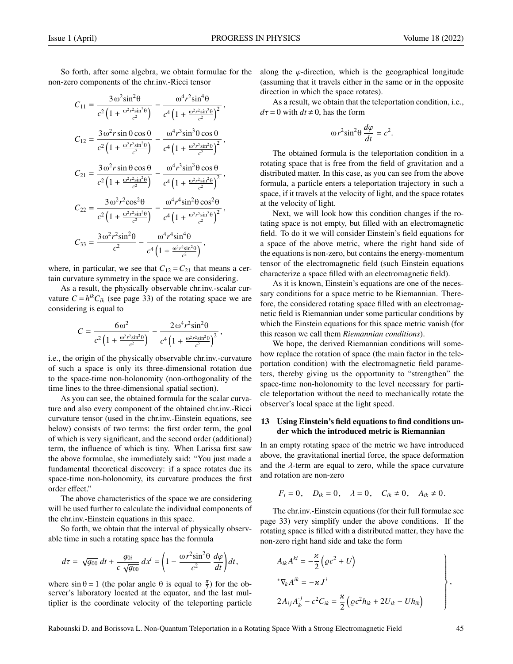So forth, after some algebra, we obtain formulae for the non-zero components of the chr.inv.-Ricci tensor

$$
C_{11} = \frac{3 \omega^2 \sin^2 \theta}{c^2 \left(1 + \frac{\omega^2 r^2 \sin^2 \theta}{c^2}\right)} - \frac{\omega^4 r^2 \sin^4 \theta}{c^4 \left(1 + \frac{\omega^2 r^2 \sin^2 \theta}{c^2}\right)^2},
$$
  
\n
$$
C_{12} = \frac{3 \omega^2 r \sin \theta \cos \theta}{c^2 \left(1 + \frac{\omega^2 r^2 \sin^2 \theta}{c^2}\right)} - \frac{\omega^4 r^3 \sin^3 \theta \cos \theta}{c^4 \left(1 + \frac{\omega^2 r^2 \sin^2 \theta}{c^2}\right)^2},
$$
  
\n
$$
C_{21} = \frac{3 \omega^2 r \sin \theta \cos \theta}{c^2 \left(1 + \frac{\omega^2 r^2 \sin^2 \theta}{c^2}\right)} - \frac{\omega^4 r^3 \sin^3 \theta \cos \theta}{c^4 \left(1 + \frac{\omega^2 r^2 \sin^2 \theta}{c^2}\right)^2},
$$
  
\n
$$
C_{22} = \frac{3 \omega^2 r^2 \cos^2 \theta}{c^2 \left(1 + \frac{\omega^2 r^2 \sin^2 \theta}{c^2}\right)} - \frac{\omega^4 r^4 \sin^2 \theta \cos^2 \theta}{c^4 \left(1 + \frac{\omega^2 r^2 \sin^2 \theta}{c^2}\right)^2},
$$
  
\n
$$
C_{33} = \frac{3 \omega^2 r^2 \sin^2 \theta}{c^2} - \frac{\omega^4 r^4 \sin^4 \theta}{c^4 \left(1 + \frac{\omega^2 r^2 \sin^2 \theta}{c^2}\right)},
$$

where, in particular, we see that  $C_{12} = C_{21}$  that means a certain curvature symmetry in the space we are considering.

As a result, the physically observable chr.inv.-scalar curvature  $C = h^{lk}C_{lk}$  (see page 33) of the rotating space we are considering is equal to

$$
C = \frac{6\omega^2}{c^2 \left(1 + \frac{\omega^2 r^2 \sin^2 \theta}{c^2}\right)} - \frac{2\omega^4 r^2 \sin^2 \theta}{c^4 \left(1 + \frac{\omega^2 r^2 \sin^2 \theta}{c^2}\right)^2}
$$

i.e., the origin of the physically observable chr.inv.-curvature of such a space is only its three-dimensional rotation due to the space-time non-holonomity (non-orthogonality of the time lines to the three-dimensional spatial section).

As you can see, the obtained formula for the scalar curvature and also every component of the obtained chr.inv.-Ricci curvature tensor (used in the chr.inv.-Einstein equations, see below) consists of two terms: the first order term, the goal of which is very significant, and the second order (additional) term, the influence of which is tiny. When Larissa first saw the above formulae, she immediately said: "You just made a fundamental theoretical discovery: if a space rotates due its space-time non-holonomity, its curvature produces the first order effect."

The above characteristics of the space we are considering will be used further to calculate the individual components of the chr.inv.-Einstein equations in this space.

So forth, we obtain that the interval of physically observable time in such a rotating space has the formula

$$
d\tau = \sqrt{g_{00}} dt + \frac{g_{0i}}{c \sqrt{g_{00}}} dx^{i} = \left(1 - \frac{\omega r^{2} \sin^{2} \theta}{c^{2}} \frac{d\varphi}{dt}\right) dt,
$$

where  $\sin \theta = 1$  (the polar angle  $\theta$  is equal to  $\frac{\pi}{2}$ ) for the observer's laboratory located at the equator, and the last multiplier is the coordinate velocity of the teleporting particle along the  $\varphi$ -direction, which is the geographical longitude (assuming that it travels either in the same or in the opposite direction in which the space rotates).

As a result, we obtain that the teleportation condition, i.e.,  $d\tau = 0$  with  $dt \neq 0$ , has the form

$$
\omega r^2 \sin^2 \theta \, \frac{d\varphi}{dt} = c^2.
$$

The obtained formula is the teleportation condition in a rotating space that is free from the field of gravitation and a distributed matter. In this case, as you can see from the above formula, a particle enters a teleportation trajectory in such a space, if it travels at the velocity of light, and the space rotates at the velocity of light.

Next, we will look how this condition changes if the rotating space is not empty, but filled with an electromagnetic field. To do it we will consider Einstein's field equations for a space of the above metric, where the right hand side of the equations is non-zero, but contains the energy-momentum tensor of the electromagnetic field (such Einstein equations characterize a space filled with an electromagnetic field).

As it is known, Einstein's equations are one of the necessary conditions for a space metric to be Riemannian. Therefore, the considered rotating space filled with an electromagnetic field is Riemannian under some particular conditions by which the Einstein equations for this space metric vanish (for this reason we call them *Riemannian conditions*).

We hope, the derived Riemannian conditions will somehow replace the rotation of space (the main factor in the teleportation condition) with the electromagnetic field parameters, thereby giving us the opportunity to "strengthen" the space-time non-holonomity to the level necessary for particle teleportation without the need to mechanically rotate the observer's local space at the light speed.

# 13 Using Einstein's field equations to find conditions under which the introduced metric is Riemannian

In an empty rotating space of the metric we have introduced above, the gravitational inertial force, the space deformation and the  $\lambda$ -term are equal to zero, while the space curvature and rotation are non-zero

$$
F_i = 0, \quad D_{ik} = 0, \quad \lambda = 0, \quad C_{ik} \neq 0, \quad A_{ik} \neq 0.
$$

The chr.inv.-Einstein equations (for their full formulae see page 33) very simplify under the above conditions. If the rotating space is filled with a distributed matter, they have the non-zero right hand side and take the form

$$
A_{ik}A^{ki} = -\frac{\varkappa}{2} \left( \varrho c^2 + U \right)
$$
  
\n
$$
*\nabla_k A^{ik} = -\varkappa J^i
$$
  
\n
$$
2A_{ij}A_{k}^{.j} - c^2 C_{ik} = \frac{\varkappa}{2} \left( \varrho c^2 h_{ik} + 2U_{ik} - Uh_{ik} \right)
$$

,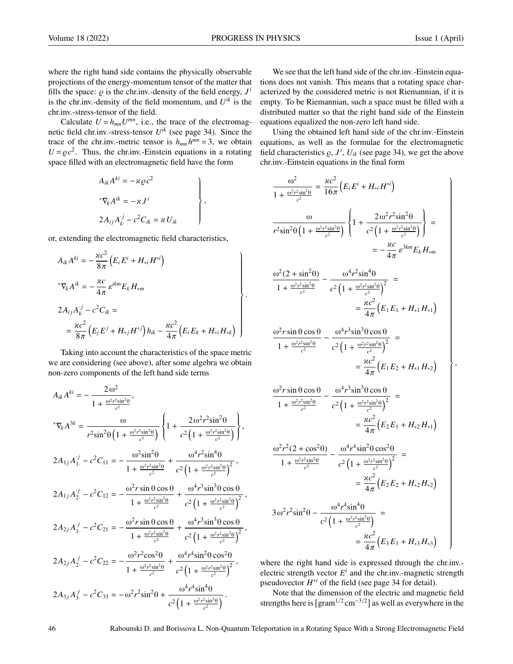where the right hand side contains the physically observable projections of the energy-momentum tensor of the matter that fills the space:  $\varrho$  is the chr.inv.-density of the field energy,  $J^i$  *i* the chr.inv.-density of the field momentum, and  $I^{jk}$  is the is the chr.inv.-density of the field momentum, and  $U^{ik}$  is the chr.inv.-stress-tensor of the field.

Calculate  $U = h_{mn}U^{mn}$ , i.e., the trace of the electromagnetic field chr.inv.-stress-tensor *U ik* (see page 34). Since the trace of the chr.inv.-metric tensor is  $h_{mn}h^{mn} = 3$ , we obtain  $U = \rho c^2$ . Thus, the chr.inv.-Einstein equations in a rotating space filled with an electromagnetic field have the form space filled with an electromagnetic field have the form

$$
A_{ik}A^{ki} = -\varkappa \varrho c^{2}
$$
  
\*
$$
\nabla_{k}A^{ik} = -\varkappa J^{i}
$$
  

$$
2A_{ij}A_{k}^{j} - c^{2}C_{ik} = \varkappa U_{ik}
$$

or, extending the electromagnetic field characteristics,

$$
A_{ik}A^{ki} = -\frac{\kappa c^2}{8\pi} (E_i E^i + H_{*i} H^{*i})
$$
  
\n
$$
^*\nabla_k A^{ik} = -\frac{\kappa c}{4\pi} \varepsilon^{ikm} E_k H_{*m}
$$
  
\n
$$
2A_{ij}A_k^{j} - c^2 C_{ik} =
$$
  
\n
$$
= \frac{\kappa c^2}{8\pi} (E_j E^j + H_{*j} H^{*j}) h_{ik} - \frac{\kappa c^2}{4\pi} (E_i E_k + H_{*i} H_{*k})
$$

Taking into account the characteristics of the space metric we are considering (see above), after some algebra we obtain non-zero components of the left hand side terms

$$
A_{ik}A^{ki} = -\frac{2\omega^2}{1 + \frac{\omega^2 r^2 \sin^2 \theta}{c^2}},
$$
  
\n
$$
{}^* \nabla_k A^{3k} = \frac{\omega}{r^2 \sin^2 \theta \left(1 + \frac{\omega^2 r^2 \sin^2 \theta}{c^2}\right)} \left\{1 + \frac{2\omega^2 r^2 \sin^2 \theta}{c^2 \left(1 + \frac{\omega^2 r^2 \sin^2 \theta}{c^2}\right)}\right\},
$$
  
\n
$$
2A_{1j}A_1^{j} - c^2 C_{11} = -\frac{\omega^2 \sin^2 \theta}{1 + \frac{\omega^2 r^2 \sin^2 \theta}{c^2} + \frac{\omega^4 r^2 \sin^4 \theta}{c^2 \left(1 + \frac{\omega^2 r^2 \sin^2 \theta}{c^2}\right)^2},
$$
  
\n
$$
2A_{1j}A_2^{j} - c^2 C_{12} = -\frac{\omega^2 r \sin \theta \cos \theta}{1 + \frac{\omega^2 r^2 \sin^2 \theta}{c^2} + \frac{\omega^4 r^3 \sin^3 \theta \cos \theta}{c^2 \left(1 + \frac{\omega^2 r^2 \sin^2 \theta}{c^2}\right)^2},
$$
  
\n
$$
2A_{2j}A_1^{j} - c^2 C_{21} = -\frac{\omega^2 r \sin \theta \cos \theta}{1 + \frac{\omega^2 r^2 \sin^2 \theta}{c^2} + \frac{\omega^4 r^3 \sin^3 \theta \cos \theta}{c^2 \left(1 + \frac{\omega^2 r^2 \sin^2 \theta}{c^2}\right)^2},
$$
  
\n
$$
2A_{2j}A_2^{j} - c^2 C_{22} = -\frac{\omega^2 r^2 \cos^2 \theta}{1 + \frac{\omega^2 r^2 \sin^2 \theta}{c^2} + \frac{\omega^4 r^4 \sin^2 \theta \cos^2 \theta}{c^2 \left(1 + \frac{\omega^2 r^2 \sin^2 \theta}{c^2}\right)^2},
$$
  
\n
$$
2A_{3j}A_3^{j} - c^2 C_{33} = -\omega^2 r^2 \sin^2 \theta + \frac{\omega^4 r^4 \sin^4 \theta}{c^2 \left(1 + \frac{\omega^2 r^2 \sin^2 \theta}{c^2}\right
$$

We see that the left hand side of the chr.inv.-Einstein equations does not vanish. This means that a rotating space characterized by the considered metric is not Riemannian, if it is empty. To be Riemannian, such a space must be filled with a distributed matter so that the right hand side of the Einstein equations equalized the non-zero left hand side.

Using the obtained left hand side of the chr.inv.-Einstein equations, as well as the formulae for the electromagnetic field characteristics  $\varrho$ ,  $J^i$ ,  $U_{ik}$  (see page 34), we get the above<br>chripy-Einstein equations in the final form chr.inv.-Einstein equations in the final form

$$
\frac{\omega^{2}}{1 + \frac{\omega^{2}r^{2}\sin^{2}\theta}{c^{2}}} = \frac{\varkappa c^{2}}{16\pi} (E_{i}E^{i} + H_{*i}H^{*i})
$$
\n
$$
\frac{\omega}{r^{2}\sin^{2}\theta (1 + \frac{\omega^{2}r^{2}\sin^{2}\theta}{c^{2}})} \left\{ 1 + \frac{2\omega^{2}r^{2}\sin^{2}\theta}{c^{2}(1 + \frac{\omega^{2}r^{2}\sin^{2}\theta}{c^{2}})} \right\} =
$$
\n
$$
= -\frac{\varkappa c}{4\pi} \varepsilon^{3km} E_{k} H_{*m}
$$
\n
$$
\frac{\omega^{2}(2 + \sin^{2}\theta)}{1 + \frac{\omega^{2}r^{2}\sin^{2}\theta}{c^{2}}} - \frac{\omega^{4}r^{2}\sin^{4}\theta}{c^{2}(1 + \frac{\omega^{2}r^{2}\sin^{2}\theta}{c^{2}})^{2}} =
$$
\n
$$
= \frac{\varkappa c^{2}}{4\pi} (E_{1}E_{1} + H_{*1}H_{*1})
$$
\n
$$
\frac{\omega^{2}r\sin\theta\cos\theta}{1 + \frac{\omega^{2}r^{2}\sin^{2}\theta}{c^{2}}} - \frac{\omega^{4}r^{3}\sin^{3}\theta\cos\theta}{c^{2}(1 + \frac{\omega^{2}r^{2}\sin^{2}\theta}{c^{2}})^{2}} =
$$
\n
$$
= \frac{\varkappa c^{2}}{4\pi} (E_{1}E_{2} + H_{*1}H_{*2})
$$
\n
$$
\frac{\omega^{2}r\sin\theta\cos\theta}{1 + \frac{\omega^{2}r^{2}\sin^{2}\theta}{c^{2}} - \frac{\omega^{4}r^{3}\sin^{3}\theta\cos\theta}{c^{2}(1 + \frac{\omega^{2}r^{2}\sin^{2}\theta}{c^{2}})^{2}} =
$$
\n
$$
= \frac{\varkappa c^{2}}{4\pi} (E_{2}E_{1} + H_{*2}H_{*1})
$$
\n
$$
\frac{\omega^{2}r^{2}(2 + \cos^{2}\theta)}{1 + \frac{\omega^{2}r^{2}\sin^{2}\theta}{c^{2}}} - \frac{\omega^{4}r^{4}\sin^{2}\theta\cos^{2}\theta}{c^{2}(1 + \frac{\omega^{2}r^{2}\sin^{2}\theta}{c^{
$$

where the right hand side is expressed through the chr.inv.electric strength vector  $E^i$  and the chr.inv.-magnetic strength pseudovector  $H^*$ <sup>*i*</sup> of the field (see page 34 for detail).

Note that the dimension of the electric and magnetic field strengths here is  $\left[\text{gram}^{1/2} \text{cm}^{-3/2}\right]$  as well as everywhere in the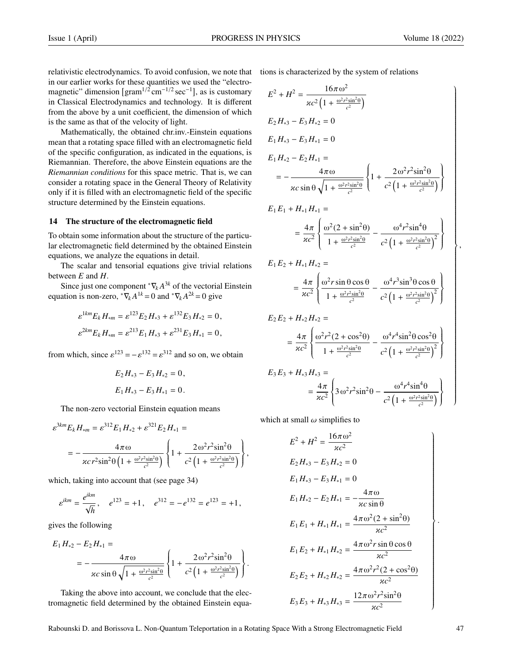,

relativistic electrodynamics. To avoid confusion, we note that in our earlier works for these quantities we used the "electromagnetic" dimension  $\left[ \text{gram}^{1/2} \text{cm}^{-1/2} \text{sec}^{-1} \right]$ , as is customary in Classical Electrodynamics and technology. It is different from the above by a unit coefficient, the dimension of which is the same as that of the velocity of light.

Mathematically, the obtained chr.inv.-Einstein equations mean that a rotating space filled with an electromagnetic field of the specific configuration, as indicated in the equations, is Riemannian. Therefore, the above Einstein equations are the *Riemannian conditions* for this space metric. That is, we can consider a rotating space in the General Theory of Relativity only if it is filled with an electromagnetic field of the specific structure determined by the Einstein equations.

#### 14 The structure of the electromagnetic field

To obtain some information about the structure of the particular electromagnetic field determined by the obtained Einstein equations, we analyze the equations in detail.

The scalar and tensorial equations give trivial relations between *E* and *H*.

Since just one component  $\sqrt[k]{k}A^{3k}$  of the vectorial Einstein equation is non-zero,  ${}^*\nabla_k A^{1k} = 0$  and  ${}^*\nabla_k A^{2k} = 0$  give

$$
\varepsilon^{1km} E_k H_{*m} = \varepsilon^{123} E_2 H_{*3} + \varepsilon^{132} E_3 H_{*2} = 0,
$$
  

$$
\varepsilon^{2km} E_k H_{*m} = \varepsilon^{213} E_1 H_{*3} + \varepsilon^{231} E_3 H_{*1} = 0,
$$

from which, since  $\varepsilon^{123} = -\varepsilon^{132} = \varepsilon^{312}$  and so on, we obtain

$$
E_2 H_{*3} - E_3 H_{*2} = 0,
$$
  

$$
E_1 H_{*3} - E_3 H_{*1} = 0.
$$

The non-zero vectorial Einstein equation means

$$
\varepsilon^{3km} E_k H_{*m} = \varepsilon^{312} E_1 H_{*2} + \varepsilon^{321} E_2 H_{*1} =
$$
  
= 
$$
-\frac{4\pi \omega}{\varkappa c r^2 \sin^2 \theta \left(1 + \frac{\omega^2 r^2 \sin^2 \theta}{c^2}\right)} \left\{1 + \frac{2\omega^2 r^2 \sin^2 \theta}{c^2 \left(1 + \frac{\omega^2 r^2 \sin^2 \theta}{c^2}\right)}\right\},
$$

which, taking into account that (see page 34)

$$
\varepsilon^{ikm} = \frac{e^{ikm}}{\sqrt{h}}, \quad e^{123} = +1, \quad e^{312} = -e^{132} = e^{123} = +1,
$$

gives the following

$$
E_1 H_{*2} - E_2 H_{*1} =
$$
  
=  $-\frac{4\pi \omega}{\kappa c \sin \theta \sqrt{1 + \frac{\omega^2 r^2 \sin^2 \theta}{c^2}}}\left\{1 + \frac{2\omega^2 r^2 \sin^2 \theta}{c^2 \left(1 + \frac{\omega^2 r^2 \sin^2 \theta}{c^2}\right)}\right\}.$ 

Taking the above into account, we conclude that the electromagnetic field determined by the obtained Einstein equations is characterized by the system of relations

$$
E^{2} + H^{2} = \frac{16\pi \omega^{2}}{\varkappa c^{2} (1 + \frac{\omega^{2} r^{2} \sin^{2} \theta}{c^{2}})}
$$
  
\n
$$
E_{2} H_{*3} - E_{3} H_{*2} = 0
$$
  
\n
$$
E_{1} H_{*3} - E_{3} H_{*1} = 0
$$
  
\n
$$
E_{1} H_{*2} - E_{2} H_{*1} =
$$
  
\n
$$
= -\frac{4\pi \omega}{\varkappa c \sin \theta \sqrt{1 + \frac{\omega^{2} r^{2} \sin^{2} \theta}{c^{2}}} \left\{ 1 + \frac{2\omega^{2} r^{2} \sin^{2} \theta}{c^{2} (1 + \frac{\omega^{2} r^{2} \sin^{2} \theta}{c^{2}})} \right\}
$$
  
\n
$$
E_{1} E_{1} + H_{*1} H_{*1} =
$$
  
\n
$$
= \frac{4\pi}{\varkappa c^{2}} \left\{ \frac{\omega^{2} (2 + \sin^{2} \theta)}{1 + \frac{\omega^{2} r^{2} \sin^{2} \theta}{c^{2}} - \frac{\omega^{4} r^{2} \sin^{4} \theta}{c^{2} (1 + \frac{\omega^{2} r^{2} \sin^{2} \theta}{c^{2}})^{2}} \right\}
$$
  
\n
$$
E_{1} E_{2} + H_{*1} H_{*2} =
$$
  
\n
$$
= \frac{4\pi}{\varkappa c^{2}} \left\{ \frac{\omega^{2} r \sin \theta \cos \theta}{1 + \frac{\omega^{2} r^{2} \sin^{2} \theta}{c^{2}} - \frac{\omega^{4} r^{3} \sin^{3} \theta \cos \theta}{c^{2} (1 + \frac{\omega^{2} r^{2} \sin^{2} \theta}{c^{2}})^{2}} \right\}
$$
  
\n
$$
E_{2} E_{2} + H_{*2} H_{*2} =
$$
  
\n
$$
= \frac{4\pi}{\varkappa c^{2}} \left\{ \frac{\omega^{2} r^{2} (2 + \cos^{2} \theta)}{1 + \frac{\omega^{2} r^{2} \sin^{2} \theta}{c^{2}} - \frac{\omega^{4} r^{4} \sin^{2} \theta \cos^{2} \theta}{c^{2} (1 + \frac{\
$$

$$
= \frac{4\pi}{\varkappa c^2} \left\{ \frac{\omega^2 r^2 (2 + \cos^2 \theta)}{1 + \frac{\omega^2 r^2 \sin^2 \theta}{c^2}} - \frac{\omega^4 r^4 \sin^2 \theta \cos^2 \theta}{c^2 \left(1 + \frac{\omega^2 r^2 \sin^2 \theta}{c^2}\right)^2} \right\}
$$
  
 
$$
E_3 E_3 + H_{*3} H_{*3} =
$$

$$
= \frac{4\pi}{\varkappa c^2} \left\{ 3\omega^2 r^2 \sin^2 \theta - \frac{\omega^4 r^4 \sin^4 \theta}{c^2 \left( 1 + \frac{\omega^2 r^2 \sin^2 \theta}{c^2} \right)} \right\}
$$

which at small  $\omega$  simplifies to

$$
E^{2} + H^{2} = \frac{16\pi \omega^{2}}{\kappa c^{2}}
$$
  
\n
$$
E_{2}H_{*3} - E_{3}H_{*2} = 0
$$
  
\n
$$
E_{1}H_{*3} - E_{3}H_{*1} = 0
$$
  
\n
$$
E_{1}H_{*2} - E_{2}H_{*1} = -\frac{4\pi \omega}{\kappa c \sin \theta}
$$
  
\n
$$
E_{1}E_{1} + H_{*1}H_{*1} = \frac{4\pi \omega^{2}(2 + \sin^{2}\theta)}{\kappa c^{2}}
$$
  
\n
$$
E_{1}E_{2} + H_{*1}H_{*2} = \frac{4\pi \omega^{2} r \sin \theta \cos \theta}{\kappa c^{2}}
$$
  
\n
$$
E_{2}E_{2} + H_{*2}H_{*2} = \frac{4\pi \omega^{2} r^{2}(2 + \cos^{2}\theta)}{\kappa c^{2}}
$$
  
\n
$$
E_{3}E_{3} + H_{*3}H_{*3} = \frac{12\pi \omega^{2} r^{2} \sin^{2}\theta}{\kappa c^{2}}
$$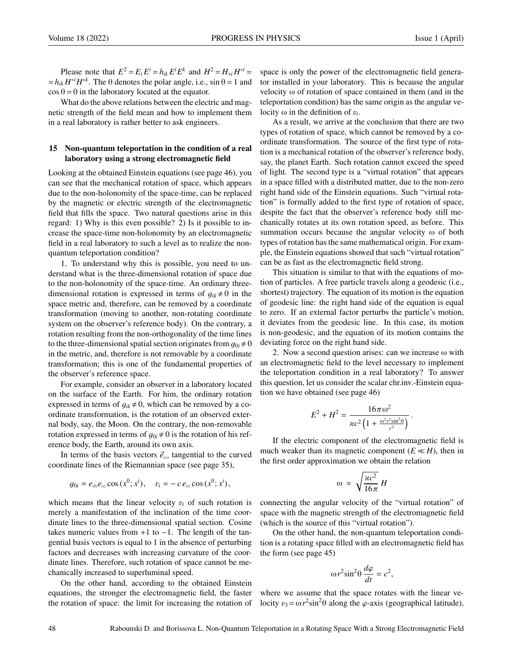Please note that  $E^2 = E_i E^i = h_{ik} E^i E^k$  and  $H^2 = H_{*i} H^{*i} =$  $= h_{ik} H^{*i} H^{*k}$ . The  $\theta$  denotes the polar angle, i.e.,  $\sin \theta = 1$  and  $\cos \theta = 0$  in the laboratory located at the equator.

What do the above relations between the electric and magnetic strength of the field mean and how to implement them in a real laboratory is rather better to ask engineers.

# 15 Non-quantum teleportation in the condition of a real laboratory using a strong electromagnetic field

Looking at the obtained Einstein equations (see page 46), you can see that the mechanical rotation of space, which appears due to the non-holonomity of the space-time, can be replaced by the magnetic or electric strength of the electromagnetic field that fills the space. Two natural questions arise in this regard: 1) Why is this even possible? 2) Is it possible to increase the space-time non-holonomity by an electromagnetic field in a real laboratory to such a level as to realize the nonquantum teleportation condition?

1. To understand why this is possible, you need to understand what is the three-dimensional rotation of space due to the non-holonomity of the space-time. An ordinary threedimensional rotation is expressed in terms of  $q_{ik} \neq 0$  in the space metric and, therefore, can be removed by a coordinate transformation (moving to another, non-rotating coordinate system on the observer's reference body). On the contrary, a rotation resulting from the non-orthogonality of the time lines to the three-dimensional spatial section originates from  $g_{0i} \neq 0$ in the metric, and, therefore is not removable by a coordinate transformation; this is one of the fundamental properties of the observer's reference space.

For example, consider an observer in a laboratory located on the surface of the Earth. For him, the ordinary rotation expressed in terms of  $q_{ik} \neq 0$ , which can be removed by a coordinate transformation, is the rotation of an observed external body, say, the Moon. On the contrary, the non-removable rotation expressed in terms of  $g_{0i} \neq 0$  is the rotation of his reference body, the Earth, around its own axis.

In terms of the basis vectors  $\vec{e}_{(a)}$  tangential to the curved<br>rdinate lines of the Riemannian space (see page 35) coordinate lines of the Riemannian space (see page 35),

$$
g_{0i} = e_{(0)}e_{(i)} \cos(x^0; x^i), \quad v_i = -c e_{(i)} \cos(x^0; x^i),
$$

which means that the linear velocity  $v_i$  of such rotation is merely a manifestation of the inclination of the time coordinate lines to the three-dimensional spatial section. Cosine takes numeric values from  $+1$  to  $-1$ . The length of the tangential basis vectors is equal to 1 in the absence of perturbing factors and decreases with increasing curvature of the coordinate lines. Therefore, such rotation of space cannot be mechanically increased to superluminal speed.

On the other hand, according to the obtained Einstein equations, the stronger the electromagnetic field, the faster the rotation of space: the limit for increasing the rotation of space is only the power of the electromagnetic field generator installed in your laboratory. This is because the angular velocity ω of rotation of space contained in them (and in the teleportation condition) has the same origin as the angular velocity ω in the definition of  $v_i$ .<br>As a result, we arrive at the

As a result, we arrive at the conclusion that there are two types of rotation of space, which cannot be removed by a coordinate transformation. The source of the first type of rotation is a mechanical rotation of the observer's reference body, say, the planet Earth. Such rotation cannot exceed the speed of light. The second type is a "virtual rotation" that appears in a space filled with a distributed matter, due to the non-zero right hand side of the Einstein equations. Such "virtual rotation" is formally added to the first type of rotation of space, despite the fact that the observer's reference body still mechanically rotates at its own rotation speed, as before. This summation occurs because the angular velocity ω of both types of rotation has the same mathematical origin. For example, the Einstein equations showed that such "virtual rotation" can be as fast as the electromagnetic field strong.

This situation is similar to that with the equations of motion of particles. A free particle travels along a geodesic (i.e., shortest) trajectory. The equation of its motion is the equation of geodesic line: the right hand side of the equation is equal to zero. If an external factor perturbs the particle's motion, it deviates from the geodesic line. In this case, its motion is non-geodesic, and the equation of its motion contains the deviating force on the right hand side.

2. Now a second question arises: can we increase ω with an electromagnetic field to the level necessary to implement the teleportation condition in a real laboratory? To answer this question, let us consider the scalar chr.inv.-Einstein equation we have obtained (see page 46)

$$
E^{2} + H^{2} = \frac{16\pi \omega^{2}}{\kappa c^{2} \left(1 + \frac{\omega^{2} r^{2} \sin^{2} \theta}{c^{2}}\right)}.
$$

If the electric component of the electromagnetic field is much weaker than its magnetic component  $(E \ll H)$ , then in the first order approximation we obtain the relation

$$
\omega \approx \sqrt{\frac{\varkappa c^2}{16\pi}} H
$$

connecting the angular velocity of the "virtual rotation" of space with the magnetic strength of the electromagnetic field (which is the source of this "virtual rotation").

On the other hand, the non-quantum teleportation condition is a rotating space filled with an electromagnetic field has the form (see page 45)

$$
\omega r^2 \sin^2 \theta \, \frac{d\varphi}{dt} = c^2,
$$

where we assume that the space rotates with the linear velocity  $v_3 = \omega r^2 \sin^2 \theta$  along the  $\varphi$ -axis (geographical latitude),